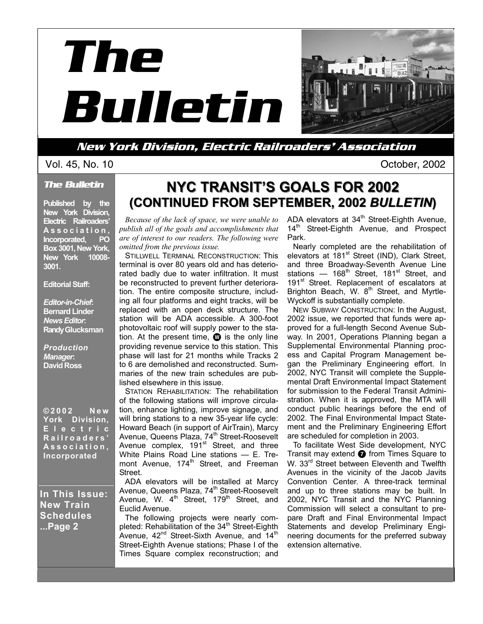



**New York Division, Electric Railroaders' Association** 

#### *The Bulletin*

**Published by the New York Division, Electric Railroaders' A s s o c i a t i o n , Incorporated, PO Box 3001, New York, New York 10008- 3001.** 

#### **Editorial Staff:**

*Editor-in-Chief***: Bernard Linder**  *News Editor***: Randy Glucksman** 

*Production Manager***: David Ross** 

**©2002 New York Division, E l e c t r i c R a i l r o a d e r s ' As s o c i a t i o n , Incorporated** 

**In This Issue: New Train Schedules ...Page 2** 

# **NYC TRANSIT'S GOALS FOR 2002 NYC TRANSIT'S GOALS FOR 2002 (CONTINUED FROM SEPTEMBER, 2002** *BULLETIN***)**

*Because of the lack of space, we were unable to publish all of the goals and accomplishments that are of interest to our readers. The following were omitted from the previous issue.* 

STILLWELL TERMINAL RECONSTRUCTION: This terminal is over 80 years old and has deteriorated badly due to water infiltration. It must be reconstructed to prevent further deterioration. The entire composite structure, including all four platforms and eight tracks, will be replaced with an open deck structure. The station will be ADA accessible. A 300-foot photovoltaic roof will supply power to the station. At the present time,  $\mathbf \odot$  is the only line providing revenue service to this station. This phase will last for 21 months while Tracks 2 to 6 are demolished and reconstructed. Summaries of the new train schedules are published elsewhere in this issue.

STATION REHABILITATION: The rehabilitation of the following stations will improve circulation, enhance lighting, improve signage, and will bring stations to a new 35-year life cycle: Howard Beach (in support of AirTrain), Marcy Avenue, Queens Plaza, 74<sup>th</sup> Street-Roosevelt Avenue complex, 191<sup>st</sup> Street, and three White Plains Road Line stations - E. Tremont Avenue, 174<sup>th</sup> Street, and Freeman Street.

ADA elevators will be installed at Marcy Avenue, Queens Plaza, 74<sup>th</sup> Street-Roosevelt Avenue, W.  $4^{\text{th}}$  Street, 179<sup>th</sup> Street, and Euclid Avenue.

The following projects were nearly completed: Rehabilitation of the  $34<sup>th</sup>$  Street-Eighth Avenue,  $42^{nd}$  Street-Sixth Avenue, and  $14^{th}$ Street-Eighth Avenue stations; Phase I of the Times Square complex reconstruction; and

ADA elevators at  $34<sup>th</sup>$  Street-Eighth Avenue, 14<sup>th</sup> Street-Eighth Avenue, and Prospect Park.

Nearly completed are the rehabilitation of elevators at 181<sup>st</sup> Street (IND), Clark Street, and three Broadway-Seventh Avenue Line stations  $-$  168<sup>th</sup> Street, 181<sup>st</sup> Street, and 191<sup>st</sup> Street. Replacement of escalators at Brighton Beach, W. 8<sup>th</sup> Street, and Myrtle-Wyckoff is substantially complete.

NEW SUBWAY CONSTRUCTION: In the August, 2002 issue, we reported that funds were approved for a full-length Second Avenue Subway. In 2001, Operations Planning began a Supplemental Environmental Planning process and Capital Program Management began the Preliminary Engineering effort. In 2002, NYC Transit will complete the Supplemental Draft Environmental Impact Statement for submission to the Federal Transit Administration. When it is approved, the MTA will conduct public hearings before the end of 2002. The Final Environmental Impact Statement and the Preliminary Engineering Effort are scheduled for completion in 2003.

To facilitate West Side development, NYC Transit may extend  $\bullet$  from Times Square to W. 33<sup>rd</sup> Street between Eleventh and Twelfth Avenues in the vicinity of the Jacob Javits Convention Center. A three-track terminal and up to three stations may be built. In 2002, NYC Transit and the NYC Planning Commission will select a consultant to prepare Draft and Final Environmental Impact Statements and develop Preliminary Engineering documents for the preferred subway extension alternative.

Vol. 45, No. 10 October, 2002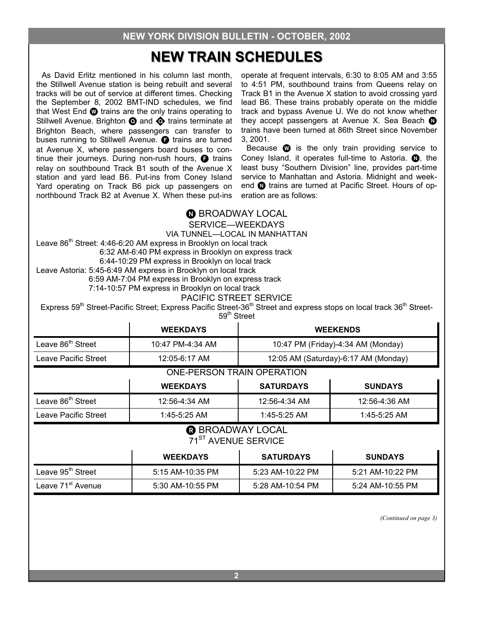# **NEW TRAIN SCHEDULES NEW TRAIN SCHEDULES**

As David Erlitz mentioned in his column last month. the Stillwell Avenue station is being rebuilt and several tracks will be out of service at different times. Checking the September 8, 2002 BMT-IND schedules, we find that West End  $\bullet$  trains are the only trains operating to Stillwell Avenue. Brighton  $\odot$  and  $\odot$  trains terminate at Brighton Beach, where passengers can transfer to buses running to Stillwell Avenue.  $\bigoplus$  trains are turned at Avenue X, where passengers board buses to continue their journeys. During non-rush hours,  $\bigoplus$  trains relay on southbound Track B1 south of the Avenue X station and yard lead B6. Put-ins from Coney Island Yard operating on Track B6 pick up passengers on northbound Track B2 at Avenue X. When these put-ins

operate at frequent intervals, 6:30 to 8:05 AM and 3:55 to 4:51 PM, southbound trains from Queens relay on Track B1 in the Avenue X station to avoid crossing yard lead B6. These trains probably operate on the middle track and bypass Avenue U. We do not know whether they accept passengers at Avenue X. Sea Beach  $\bullet$ trains have been turned at 86th Street since November 3, 2001.

Because  $\mathbf{\Omega}$  is the only train providing service to Coney Island, it operates full-time to Astoria.  $\bullet$ , the least busy "Southern Division" line, provides part-time service to Manhattan and Astoria. Midnight and weekend @ trains are turned at Pacific Street. Hours of operation are as follows:

### **O** BROADWAY LOCAL

SERVICE—WEEKDAYS

VIA TUNNEL—LOCAL IN MANHATTAN

Leave 86<sup>th</sup> Street: 4:46-6:20 AM express in Brooklyn on local track 6:32 AM-6:40 PM express in Brooklyn on express track 6:44-10:29 PM express in Brooklyn on local track Leave Astoria: 5:45-6:49 AM express in Brooklyn on local track

6:59 AM-7:04 PM express in Brooklyn on express track

7:14-10:57 PM express in Brooklyn on local track

#### PACIFIC STREET SERVICE

Express 59<sup>th</sup> Street-Pacific Street; Express Pacific Street-36<sup>th</sup> Street and express stops on local track 36<sup>th</sup> Street-59<sup>th</sup> Street

|                                                       | <b>WEEKDAYS</b>  | <b>WEEKENDS</b>                      |               |  |
|-------------------------------------------------------|------------------|--------------------------------------|---------------|--|
| Leave 86 <sup>th</sup> Street                         | 10:47 PM-4:34 AM | 10:47 PM (Friday)-4:34 AM (Monday)   |               |  |
| Leave Pacific Street                                  | 12:05-6:17 AM    | 12:05 AM (Saturday)-6:17 AM (Monday) |               |  |
| <b>ONE-PERSON TRAIN OPERATION</b>                     |                  |                                      |               |  |
| <b>SATURDAYS</b><br><b>WEEKDAYS</b><br><b>SUNDAYS</b> |                  |                                      |               |  |
| Leave 86 <sup>th</sup> Street                         | 12:56-4:34 AM    | 12:56-4:34 AM                        | 12:56-4:36 AM |  |
| Leave Pacific Street                                  | $1:45-5:25$ AM   | 1:45-5:25 AM<br>$1:45-5:25$ AM       |               |  |

### **R** BROADWAY LOCAL 71ST AVENUE SERVICE

|                               | <b>WEEKDAYS</b>  | <b>SATURDAYS</b> | <b>SUNDAYS</b>   |
|-------------------------------|------------------|------------------|------------------|
| Leave 95 <sup>th</sup> Street | 5:15 AM-10:35 PM | 5:23 AM-10:22 PM | 5:21 AM-10:22 PM |
| Leave 71 <sup>st</sup> Avenue | 5:30 AM-10:55 PM | 5:28 AM-10:54 PM | 5:24 AM-10:55 PM |

*(Continued on page 3)*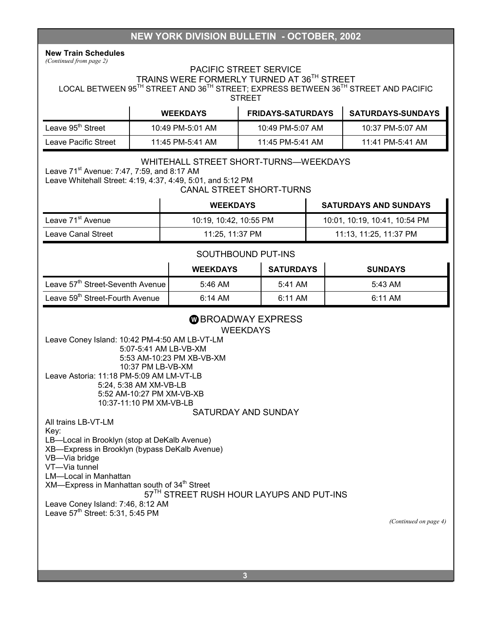### **NEW YORK DIVISION BULLETIN - OCTOBER, 2002**

**New Train Schedules**  *(Continued from page 2)* 

### PACIFIC STREET SERVICE

TRAINS WERE FORMERLY TURNED AT 36TH STREET

LOCAL BETWEEN 95<sup>TH</sup> STREET AND 36<sup>TH</sup> STREET; EXPRESS BETWEEN 36<sup>TH</sup> STREET AND PACIFIC **STREET** 

|                               | <b>WEEKDAYS</b>  | <b>FRIDAYS-SATURDAYS</b> | <b>SATURDAYS-SUNDAYS</b> |
|-------------------------------|------------------|--------------------------|--------------------------|
| Leave 95 <sup>th</sup> Street | 10:49 PM-5:01 AM | 10:49 PM-5:07 AM         | 10:37 PM-5:07 AM         |
| Leave Pacific Street          | 11:45 PM-5:41 AM | 11:45 PM-5:41 AM         | 11:41 PM-5:41 AM         |

#### WHITEHALL STREET SHORT-TURNS—WEEKDAYS

Leave 71<sup>st</sup> Avenue: 7:47, 7:59, and 8:17 AM

Leave Whitehall Street: 4:19, 4:37, 4:49, 5:01, and 5:12 PM

CANAL STREET SHORT-TURNS

|                               | <b>WEEKDAYS</b>        | <b>SATURDAYS AND SUNDAYS</b>  |
|-------------------------------|------------------------|-------------------------------|
| Leave 71 <sup>st</sup> Avenue | 10:19, 10:42, 10:55 PM | 10:01, 10:19, 10:41, 10:54 PM |
| Leave Canal Street            | 11:25, 11:37 PM        | 11:13, 11:25, 11:37 PM        |

#### SOUTHBOUND PUT-INS

|                                              | <b>WEEKDAYS</b> | <b>SATURDAYS</b> | <b>SUNDAYS</b> |
|----------------------------------------------|-----------------|------------------|----------------|
| Leave 57 <sup>th</sup> Street-Seventh Avenue | 5:46 AM         | 5:41 AM          | 5:43 AM        |
| Leave 59 <sup>th</sup> Street-Fourth Avenue  | 6:14 AM         | 6:11 AM          | 6:11 AM        |

### **W BROADWAY EXPRESS**

**WEEKDAYS** 

Leave Coney Island: 10:42 PM-4:50 AM LB-VT-LM 5:07-5:41 AM LB-VB-XM 5:53 AM-10:23 PM XB-VB-XM 10:37 PM LB-VB-XM Leave Astoria: 11:18 PM-5:09 AM LM-VT-LB 5:24, 5:38 AM XM-VB-LB 5:52 AM-10:27 PM XM-VB-XB 10:37-11:10 PM XM-VB-LB

#### SATURDAY AND SUNDAY

All trains LB-VT-LM

Key:

LB—Local in Brooklyn (stop at DeKalb Avenue)

XB—Express in Brooklyn (bypass DeKalb Avenue)

VB—Via bridge

VT—Via tunnel

LM—Local in Manhattan  $XM$ —Express in Manhattan south of  $34<sup>th</sup>$  Street

### 57<sup>TH</sup> STREET RUSH HOUR LAYUPS AND PUT-INS

Leave Coney Island: 7:46, 8:12 AM Leave 57<sup>th</sup> Street: 5:31, 5:45 PM

*(Continued on page 4)*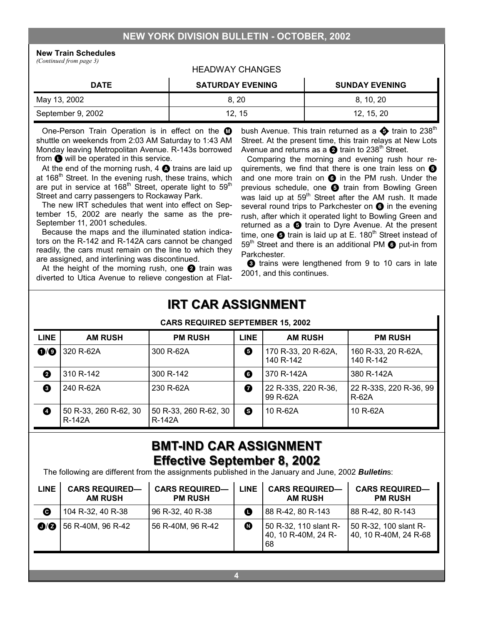### **NEW YORK DIVISION BULLETIN - OCTOBER, 2002**

**New Train Schedules** 

*(Continued from page 3)* 

#### HEADWAY CHANGES

| <b>DATE</b>       | <b>SATURDAY EVENING</b> | <b>SUNDAY EVENING</b> |
|-------------------|-------------------------|-----------------------|
| May 13, 2002      | 8, 20                   | 8, 10, 20             |
| September 9, 2002 | 12.15                   | 12, 15, 20            |

One-Person Train Operation is in effect on the  $\mathbf \Omega$ shuttle on weekends from 2:03 AM Saturday to 1:43 AM Monday leaving Metropolitan Avenue. R-143s borrowed from  $\bigoplus$  will be operated in this service.

At the end of the morning rush,  $4 \bigcirc$  trains are laid up at 168<sup>th</sup> Street. In the evening rush, these trains, which are put in service at 168<sup>th</sup> Street, operate light to 59<sup>th</sup> Street and carry passengers to Rockaway Park.

The new IRT schedules that went into effect on September 15, 2002 are nearly the same as the pre-September 11, 2001 schedules.

Because the maps and the illuminated station indicators on the R-142 and R-142A cars cannot be changed readily, the cars must remain on the line to which they are assigned, and interlining was discontinued.

At the height of the morning rush, one  $\bullet$  train was diverted to Utica Avenue to relieve congestion at Flatbush Avenue. This train returned as a  $\bigoplus$  train to 238<sup>th</sup> Street. At the present time, this train relays at New Lots Avenue and returns as a  $\bullet$  train to 238<sup>th</sup> Street.

Comparing the morning and evening rush hour requirements, we find that there is one train less on  $\Theta$ and one more train on  $\odot$  in the PM rush. Under the previous schedule, one  $\Theta$  train from Bowling Green was laid up at 59<sup>th</sup> Street after the AM rush. It made several round trips to Parkchester on  $\odot$  in the evening rush, after which it operated light to Bowling Green and returned as a  $\bigoplus$  train to Dyre Avenue. At the present time, one  $\bullet$  train is laid up at E. 180<sup>th</sup> Street instead of  $59<sup>th</sup>$  Street and there is an additional PM  $\odot$  put-in from Parkchester.

**3** trains were lengthened from 9 to 10 cars in late 2001, and this continues.

# **IRT CAR ASSIGNMENT IRT CAR ASSIGNMENT**

CARS REQUIRED SERVICED 15, 2002

|                         | <b>UANJ NEQUINED JEFTEMBEN 19, 2002</b> |                                 |             |                                  |                                        |  |  |  |
|-------------------------|-----------------------------------------|---------------------------------|-------------|----------------------------------|----------------------------------------|--|--|--|
| <b>LINE</b>             | <b>AM RUSH</b>                          | <b>PM RUSH</b>                  | <b>LINE</b> | <b>AM RUSH</b>                   | <b>PM RUSH</b>                         |  |  |  |
| $\mathbf{O}/\mathbf{O}$ | 320 R-62A                               | 300 R-62A                       | 0           | 170 R-33, 20 R-62A,<br>140 R-142 | 160 R-33, 20 R-62A,<br>140 R-142       |  |  |  |
| ❷                       | 310 R-142                               | 300 R-142                       | 0           | 370 R-142A                       | 380 R-142A                             |  |  |  |
| ❸                       | 240 R-62A                               | 230 R-62A                       | 0           | 22 R-33S, 220 R-36,<br>99 R-62A  | 22 R-33S, 220 R-36, 99<br><b>R-62A</b> |  |  |  |
| ❹                       | 50 R-33, 260 R-62, 30<br>R-142A         | 50 R-33, 260 R-62, 30<br>R-142A | ❸           | 10 R-62A                         | 10 R-62A                               |  |  |  |

# **BMT-IND CAR ASSIGNMENT IND CAR ASSIGNMENT Effective September 8, 2002 Effective September 8, 2002**

The following are different from the assignments published in the January and June, 2002 *Bulletin*s:

| <b>LINE</b>             | <b>CARS REQUIRED-</b><br><b>AM RUSH</b> | <b>CARS REQUIRED-</b><br><b>PM RUSH</b> | <b>LINE</b>           | <b>CARS REQUIRED-</b><br><b>AM RUSH</b>            | <b>CARS REQUIRED-</b><br><b>PM RUSH</b>        |
|-------------------------|-----------------------------------------|-----------------------------------------|-----------------------|----------------------------------------------------|------------------------------------------------|
| ❻                       | 104 R-32, 40 R-38                       | 96 R-32, 40 R-38                        | O                     | 88 R-42, 80 R-143                                  | 88 R-42, 80 R-143                              |
| $\mathbf{O}/\mathbf{O}$ | 56 R-40M, 96 R-42                       | 56 R-40M, 96 R-42                       | $\boldsymbol{\Omega}$ | 50 R-32, 110 slant R-<br>40, 10 R-40M, 24 R-<br>68 | 50 R-32, 100 slant R-<br>40, 10 R-40M, 24 R-68 |
|                         |                                         |                                         |                       |                                                    |                                                |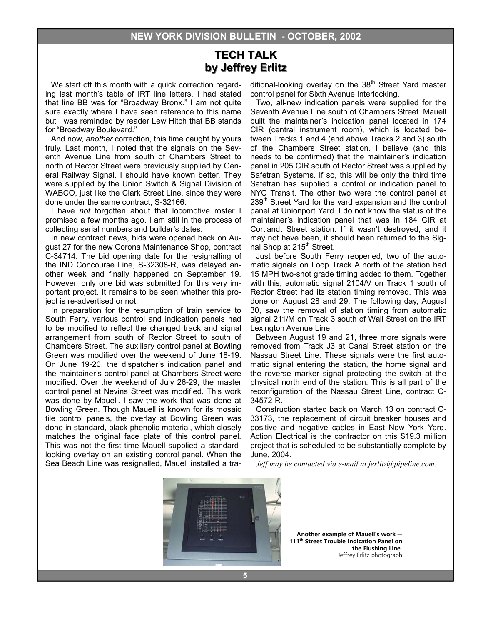### **TECH TALK TECH TALK by Jeffrey Erlitz by Jeffrey Erlitz**

We start off this month with a quick correction regarding last month's table of IRT line letters. I had stated that line BB was for "Broadway Bronx." I am not quite sure exactly where I have seen reference to this name but I was reminded by reader Lew Hitch that BB stands for "Broadway Boulevard."

And now, *another* correction, this time caught by yours truly. Last month, I noted that the signals on the Seventh Avenue Line from south of Chambers Street to north of Rector Street were previously supplied by General Railway Signal. I should have known better. They were supplied by the Union Switch & Signal Division of WABCO, just like the Clark Street Line, since they were done under the same contract, S-32166.

I have *not* forgotten about that locomotive roster I promised a few months ago. I am still in the process of collecting serial numbers and builder's dates.

In new contract news, bids were opened back on August 27 for the new Corona Maintenance Shop, contract C-34714. The bid opening date for the resignalling of the IND Concourse Line, S-32308-R, was delayed another week and finally happened on September 19. However, only one bid was submitted for this very important project. It remains to be seen whether this project is re-advertised or not.

In preparation for the resumption of train service to South Ferry, various control and indication panels had to be modified to reflect the changed track and signal arrangement from south of Rector Street to south of Chambers Street. The auxiliary control panel at Bowling Green was modified over the weekend of June 18-19. On June 19-20, the dispatcher's indication panel and the maintainer's control panel at Chambers Street were modified. Over the weekend of July 26-29, the master control panel at Nevins Street was modified. This work was done by Mauell. I saw the work that was done at Bowling Green. Though Mauell is known for its mosaic tile control panels, the overlay at Bowling Green was done in standard, black phenolic material, which closely matches the original face plate of this control panel. This was not the first time Mauell supplied a standardlooking overlay on an existing control panel. When the Sea Beach Line was resignalled, Mauell installed a traditional-looking overlay on the  $38<sup>th</sup>$  Street Yard master control panel for Sixth Avenue Interlocking.

Two, all-new indication panels were supplied for the Seventh Avenue Line south of Chambers Street. Mauell built the maintainer's indication panel located in 174 CIR (central instrument room), which is located between Tracks 1 and 4 (and *above* Tracks 2 and 3) south of the Chambers Street station. I believe (and this needs to be confirmed) that the maintainer's indication panel in 205 CIR south of Rector Street was supplied by Safetran Systems. If so, this will be only the third time Safetran has supplied a control or indication panel to NYC Transit. The other two were the control panel at 239<sup>th</sup> Street Yard for the yard expansion and the control panel at Unionport Yard. I do not know the status of the maintainer's indication panel that was in 184 CIR at Cortlandt Street station. If it wasn't destroyed, and it may not have been, it should been returned to the Signal Shop at 215<sup>th</sup> Street.

Just before South Ferry reopened, two of the automatic signals on Loop Track A north of the station had 15 MPH two-shot grade timing added to them. Together with this, automatic signal 2104/V on Track 1 south of Rector Street had its station timing removed. This was done on August 28 and 29. The following day, August 30, saw the removal of station timing from automatic signal 211/M on Track 3 south of Wall Street on the IRT Lexington Avenue Line.

Between August 19 and 21, three more signals were removed from Track J3 at Canal Street station on the Nassau Street Line. These signals were the first automatic signal entering the station, the home signal and the reverse marker signal protecting the switch at the physical north end of the station. This is all part of the reconfiguration of the Nassau Street Line, contract C-34572-R.

Construction started back on March 13 on contract C-33173, the replacement of circuit breaker houses and positive and negative cables in East New York Yard. Action Electrical is the contractor on this \$19.3 million project that is scheduled to be substantially complete by June, 2004.

*Jeff may be contacted via e-mail at jerlitz@pipeline.com.* 



**Another example of Mauell's work — 111th Street Trouble Indication Panel on the Flushing Line.**  Jeffrey Erlitz photograph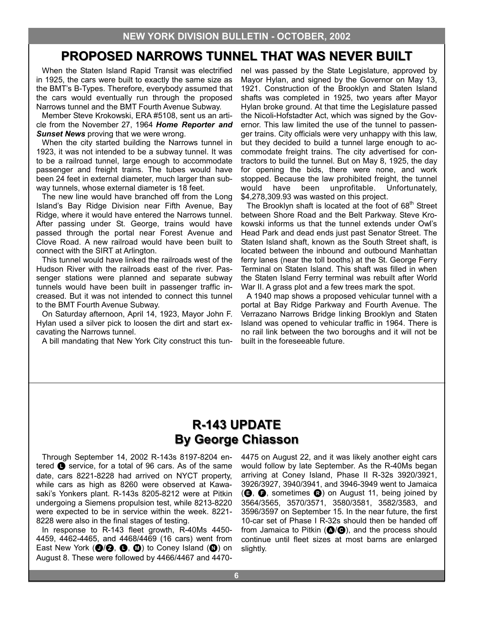# **PROPOSED NARROWS TUNNEL THAT WAS NEVER BUILT PROPOSED NARROWS TUNNEL THAT WAS NEVER BUILT**

When the Staten Island Rapid Transit was electrified in 1925, the cars were built to exactly the same size as the BMT's B-Types. Therefore, everybody assumed that the cars would eventually run through the proposed Narrows tunnel and the BMT Fourth Avenue Subway.

Member Steve Krokowski, ERA #5108, sent us an article from the November 27, 1964 *Home Reporter and*  **Sunset News** proving that we were wrong.

When the city started building the Narrows tunnel in 1923, it was not intended to be a subway tunnel. It was to be a railroad tunnel, large enough to accommodate passenger and freight trains. The tubes would have been 24 feet in external diameter, much larger than subway tunnels, whose external diameter is 18 feet.

The new line would have branched off from the Long Island's Bay Ridge Division near Fifth Avenue, Bay Ridge, where it would have entered the Narrows tunnel. After passing under St. George, trains would have passed through the portal near Forest Avenue and Clove Road. A new railroad would have been built to connect with the SIRT at Arlington.

This tunnel would have linked the railroads west of the Hudson River with the railroads east of the river. Passenger stations were planned and separate subway tunnels would have been built in passenger traffic increased. But it was not intended to connect this tunnel to the BMT Fourth Avenue Subway.

On Saturday afternoon, April 14, 1923, Mayor John F. Hylan used a silver pick to loosen the dirt and start excavating the Narrows tunnel.

A bill mandating that New York City construct this tun-

nel was passed by the State Legislature, approved by Mayor Hylan, and signed by the Governor on May 13, 1921. Construction of the Brooklyn and Staten Island shafts was completed in 1925, two years after Mayor Hylan broke ground. At that time the Legislature passed the Nicoli-Hofstadter Act, which was signed by the Governor. This law limited the use of the tunnel to passenger trains. City officials were very unhappy with this law, but they decided to build a tunnel large enough to accommodate freight trains. The city advertised for contractors to build the tunnel. But on May 8, 1925, the day for opening the bids, there were none, and work stopped. Because the law prohibited freight, the tunnel would have been unprofitable. Unfortunately, \$4,278,309.93 was wasted on this project.

The Brooklyn shaft is located at the foot of  $68<sup>th</sup>$  Street between Shore Road and the Belt Parkway. Steve Krokowski informs us that the tunnel extends under Owl's Head Park and dead ends just past Senator Street. The Staten Island shaft, known as the South Street shaft, is located between the inbound and outbound Manhattan ferry lanes (near the toll booths) at the St. George Ferry Terminal on Staten Island. This shaft was filled in when the Staten Island Ferry terminal was rebuilt after World War II. A grass plot and a few trees mark the spot.

A 1940 map shows a proposed vehicular tunnel with a portal at Bay Ridge Parkway and Fourth Avenue. The Verrazano Narrows Bridge linking Brooklyn and Staten Island was opened to vehicular traffic in 1964. There is no rail link between the two boroughs and it will not be built in the foreseeable future.

## **R-143 UPDATE 143 UPDATE By George Chiasson By George Chiasson**

Through September 14, 2002 R-143s 8197-8204 entered  $\bullet$  service, for a total of 96 cars. As of the same date, cars 8221-8228 had arrived on NYCT property, while cars as high as 8260 were observed at Kawasaki's Yonkers plant. R-143s 8205-8212 were at Pitkin undergoing a Siemens propulsion test, while 8213-8220 were expected to be in service within the week. 8221- 8228 were also in the final stages of testing.

In response to R-143 fleet growth, R-40Ms 4450- 4459, 4462-4465, and 4468/4469 (16 cars) went from East New York  $(\mathbf{O}/\mathbf{O}, \mathbf{O}, \mathbf{O})$  to Coney Island  $(\mathbf{O})$  on August 8. These were followed by 4466/4467 and 4470-

4475 on August 22, and it was likely another eight cars would follow by late September. As the R-40Ms began arriving at Coney Island, Phase II R-32s 3920/3921, 3926/3927, 3940/3941, and 3946-3949 went to Jamaica  $(\mathbf{\Theta}, \mathbf{\Theta})$ , sometimes  $\mathbf{\Theta}$ ) on August 11, being joined by 3564/3565, 3570/3571, 3580/3581, 3582/3583, and 3596/3597 on September 15. In the near future, the first 10-car set of Phase I R-32s should then be handed off from Jamaica to Pitkin ( $\bigcirc$ / $\bigcirc$ ), and the process should continue until fleet sizes at most barns are enlarged slightly.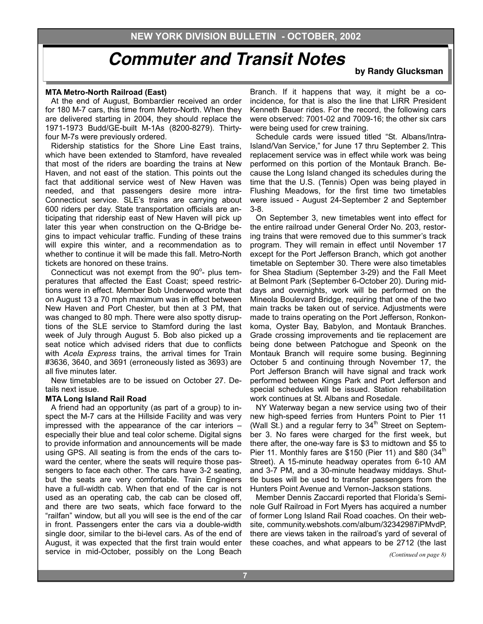**by Randy Glucksman** 

#### **MTA Metro-North Railroad (East)**

At the end of August, Bombardier received an order for 180 M-7 cars, this time from Metro-North. When they are delivered starting in 2004, they should replace the 1971-1973 Budd/GE-built M-1As (8200-8279). Thirtyfour M-7s were previously ordered.

Ridership statistics for the Shore Line East trains, which have been extended to Stamford, have revealed that most of the riders are boarding the trains at New Haven, and not east of the station. This points out the fact that additional service west of New Haven was needed, and that passengers desire more intra-Connecticut service. SLE's trains are carrying about 600 riders per day. State transportation officials are anticipating that ridership east of New Haven will pick up later this year when construction on the Q-Bridge begins to impact vehicular traffic. Funding of these trains will expire this winter, and a recommendation as to whether to continue it will be made this fall. Metro-North tickets are honored on these trains.

Connecticut was not exempt from the  $90^\circ$ - plus temperatures that affected the East Coast; speed restrictions were in effect. Member Bob Underwood wrote that on August 13 a 70 mph maximum was in effect between New Haven and Port Chester, but then at 3 PM, that was changed to 80 mph. There were also spotty disruptions of the SLE service to Stamford during the last week of July through August 5. Bob also picked up a seat notice which advised riders that due to conflicts with *Acela Express* trains, the arrival times for Train #3636, 3640, and 3691 (erroneously listed as 3693) are all five minutes later.

New timetables are to be issued on October 27. Details next issue.

#### **MTA Long Island Rail Road**

A friend had an opportunity (as part of a group) to inspect the M-7 cars at the Hillside Facility and was very impressed with the appearance of the car interiors – especially their blue and teal color scheme. Digital signs to provide information and announcements will be made using GPS. All seating is from the ends of the cars toward the center, where the seats will require those passengers to face each other. The cars have 3-2 seating, but the seats are very comfortable. Train Engineers have a full-width cab. When that end of the car is not used as an operating cab, the cab can be closed off, and there are two seats, which face forward to the "railfan" window, but all you will see is the end of the car in front. Passengers enter the cars via a double-width single door, similar to the bi-level cars. As of the end of August, it was expected that the first train would enter service in mid-October, possibly on the Long Beach

Branch. If it happens that way, it might be a coincidence, for that is also the line that LIRR President Kenneth Bauer rides. For the record, the following cars were observed: 7001-02 and 7009-16; the other six cars were being used for crew training.

Schedule cards were issued titled "St. Albans/Intra-Island/Van Service," for June 17 thru September 2. This replacement service was in effect while work was being performed on this portion of the Montauk Branch. Because the Long Island changed its schedules during the time that the U.S. (Tennis) Open was being played in Flushing Meadows, for the first time two timetables were issued - August 24-September 2 and September 3-8.

On September 3, new timetables went into effect for the entire railroad under General Order No. 203, restoring trains that were removed due to this summer's track program. They will remain in effect until November 17 except for the Port Jefferson Branch, which got another timetable on September 30. There were also timetables for Shea Stadium (September 3-29) and the Fall Meet at Belmont Park (September 6-October 20). During middays and overnights, work will be performed on the Mineola Boulevard Bridge, requiring that one of the two main tracks be taken out of service. Adjustments were made to trains operating on the Port Jefferson, Ronkonkoma, Oyster Bay, Babylon, and Montauk Branches. Grade crossing improvements and tie replacement are being done between Patchogue and Speonk on the Montauk Branch will require some busing. Beginning October 5 and continuing through November 17, the Port Jefferson Branch will have signal and track work performed between Kings Park and Port Jefferson and special schedules will be issued. Station rehabilitation work continues at St. Albans and Rosedale.

NY Waterway began a new service using two of their new high-speed ferries from Hunters Point to Pier 11 (Wall St.) and a regular ferry to  $34<sup>th</sup>$  Street on September 3. No fares were charged for the first week, but there after, the one-way fare is \$3 to midtown and \$5 to Pier 11. Monthly fares are \$150 (Pier 11) and \$80  $(34<sup>th</sup>$ Street). A 15-minute headway operates from 6-10 AM and 3-7 PM, and a 30-minute headway middays. Shuttle buses will be used to transfer passengers from the Hunters Point Avenue and Vernon-Jackson stations.

Member Dennis Zaccardi reported that Florida's Seminole Gulf Railroad in Fort Myers has acquired a number of former Long Island Rail Road coaches. On their website, community.webshots.com/album/32342987iPMvdP, there are views taken in the railroad's yard of several of these coaches, and what appears to be 2712 (the last

*(Continued on page 8)*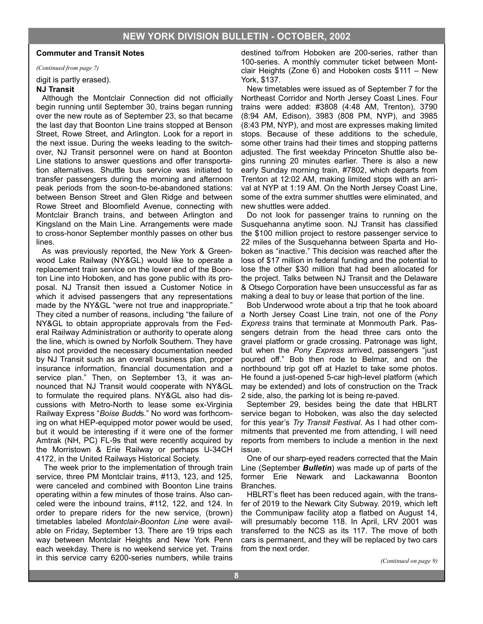*(Continued from page 7)* 

digit is partly erased).

#### **NJ Transit**

Although the Montclair Connection did not officially begin running until September 30, trains began running over the new route as of September 23, so that became the last day that Boonton Line trains stopped at Benson Street, Rowe Street, and Arlington. Look for a report in the next issue. During the weeks leading to the switchover, NJ Transit personnel were on hand at Boonton Line stations to answer questions and offer transportation alternatives. Shuttle bus service was initiated to transfer passengers during the morning and afternoon peak periods from the soon-to-be-abandoned stations: between Benson Street and Glen Ridge and between Rowe Street and Bloomfield Avenue, connecting with Montclair Branch trains, and between Arlington and Kingsland on the Main Line. Arrangements were made to cross-honor September monthly passes on other bus lines.

As was previously reported, the New York & Greenwood Lake Railway (NY&GL) would like to operate a replacement train service on the lower end of the Boonton Line into Hoboken, and has gone public with its proposal. NJ Transit then issued a Customer Notice in which it advised passengers that any representations made by the NY&GL "were not true and inappropriate." They cited a number of reasons, including "the failure of NY&GL to obtain appropriate approvals from the Federal Railway Administration or authority to operate along the line, which is owned by Norfolk Southern. They have also not provided the necessary documentation needed by NJ Transit such as an overall business plan, proper insurance information, financial documentation and a service plan." Then, on September 13, it was announced that NJ Transit would cooperate with NY&GL to formulate the required plans. NY&GL also had discussions with Metro-North to lease some ex-Virginia Railway Express "*Boise Budd*s." No word was forthcoming on what HEP-equipped motor power would be used, but it would be interesting if it were one of the former Amtrak (NH, PC) FL-9s that were recently acquired by the Morristown & Erie Railway or perhaps U-34CH 4172, in the United Railways Historical Society.

 The week prior to the implementation of through train service, three PM Montclair trains, #113, 123, and 125, were canceled and combined with Boonton Line trains operating within a few minutes of those trains. Also canceled were the inbound trains, #112, 122, and 124. In order to prepare riders for the new service, (brown) timetables labeled *Montclair-Boonton Line* were available on Friday, September 13. There are 19 trips each way between Montclair Heights and New York Penn each weekday. There is no weekend service yet. Trains in this service carry 6200-series numbers, while trains

destined to/from Hoboken are 200-series, rather than 100-series. A monthly commuter ticket between Montclair Heights (Zone 6) and Hoboken costs \$111 – New York, \$137.

New timetables were issued as of September 7 for the Northeast Corridor and North Jersey Coast Lines. Four trains were added: #3808 (4:48 AM, Trenton), 3790 (8:94 AM, Edison), 3983 (808 PM, NYP), and 3985 (8:43 PM, NYP), and most are expresses making limited stops. Because of these additions to the schedule, some other trains had their times and stopping patterns adjusted. The first weekday Princeton Shuttle also begins running 20 minutes earlier. There is also a new early Sunday morning train, #7802, which departs from Trenton at 12:02 AM, making limited stops with an arrival at NYP at 1:19 AM. On the North Jersey Coast Line, some of the extra summer shuttles were eliminated, and new shuttles were added.

Do not look for passenger trains to running on the Susquehanna anytime soon. NJ Transit has classified the \$100 million project to restore passenger service to 22 miles of the Susquehanna between Sparta and Hoboken as "inactive." This decision was reached after the loss of \$17 million in federal funding and the potential to lose the other \$30 million that had been allocated for the project. Talks between NJ Transit and the Delaware & Otsego Corporation have been unsuccessful as far as making a deal to buy or lease that portion of the line.

Bob Underwood wrote about a trip that he took aboard a North Jersey Coast Line train, not one of the *Pony Express* trains that terminate at Monmouth Park. Passengers detrain from the head three cars onto the gravel platform or grade crossing. Patronage was light, but when the *Pony Express* arrived, passengers "just poured off." Bob then rode to Belmar, and on the northbound trip got off at Hazlet to take some photos. He found a just-opened 5-car high-level platform (which may be extended) and lots of construction on the Track 2 side, also, the parking lot is being re-paved.

September 29, besides being the date that HBLRT service began to Hoboken, was also the day selected for this year's *Try Transit Festival*. As I had other commitments that prevented me from attending, I will need reports from members to include a mention in the next issue.

One of our sharp-eyed readers corrected that the Main Line (September *Bulletin*) was made up of parts of the former Erie Newark and Lackawanna Boonton Branches.

HBLRT's fleet has been reduced again, with the transfer of 2019 to the Newark City Subway. 2019, which left the Communipaw facility atop a flatbed on August 14, will presumably become 118. In April, LRV 2001 was transferred to the NCS as its 117. The move of both cars is permanent, and they will be replaced by two cars from the next order.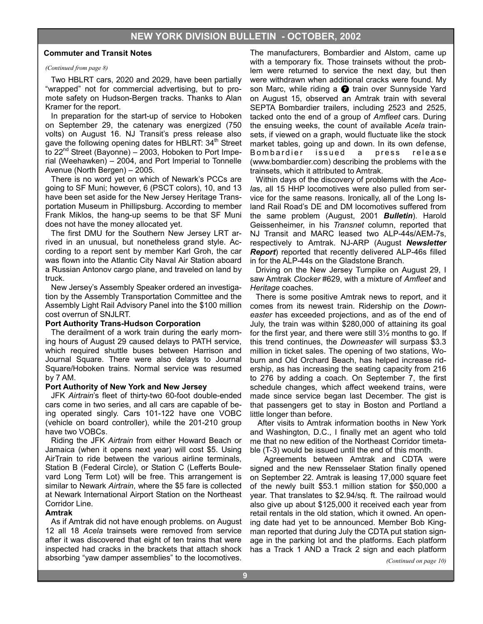#### *(Continued from page 8)*

Two HBLRT cars, 2020 and 2029, have been partially "wrapped" not for commercial advertising, but to promote safety on Hudson-Bergen tracks. Thanks to Alan Kramer for the report.

In preparation for the start-up of service to Hoboken on September 29, the catenary was energized (750 volts) on August 16. NJ Transit's press release also gave the following opening dates for HBLRT:  $34<sup>th</sup>$  Street to  $22<sup>nd</sup>$  Street (Bayonne) – 2003, Hoboken to Port Imperial (Weehawken) – 2004, and Port Imperial to Tonnelle Avenue (North Bergen) – 2005.

There is no word yet on which of Newark's PCCs are going to SF Muni; however, 6 (PSCT colors), 10, and 13 have been set aside for the New Jersey Heritage Transportation Museum in Phillipsburg. According to member Frank Miklos, the hang-up seems to be that SF Muni does not have the money allocated yet.

The first DMU for the Southern New Jersey LRT arrived in an unusual, but nonetheless grand style. According to a report sent by member Karl Groh, the car was flown into the Atlantic City Naval Air Station aboard a Russian Antonov cargo plane, and traveled on land by truck.

New Jersey's Assembly Speaker ordered an investigation by the Assembly Transportation Committee and the Assembly Light Rail Advisory Panel into the \$100 million cost overrun of SNJLRT.

#### **Port Authority Trans-Hudson Corporation**

The derailment of a work train during the early morning hours of August 29 caused delays to PATH service, which required shuttle buses between Harrison and Journal Square. There were also delays to Journal Square/Hoboken trains. Normal service was resumed by 7 AM.

#### **Port Authority of New York and New Jersey**

JFK *Airtrain*'s fleet of thirty-two 60-foot double-ended cars come in two series, and all cars are capable of being operated singly. Cars 101-122 have one VOBC (vehicle on board controller), while the 201-210 group have two VOBCs.

Riding the JFK *Airtrain* from either Howard Beach or Jamaica (when it opens next year) will cost \$5. Using AirTrain to ride between the various airline terminals, Station B (Federal Circle), or Station C (Lefferts Boulevard Long Term Lot) will be free. This arrangement is similar to Newark *Airtrain*, where the \$5 fare is collected at Newark International Airport Station on the Northeast Corridor Line.

#### **Amtrak**

As if Amtrak did not have enough problems. on August 12 all 18 *Acela* trainsets were removed from service after it was discovered that eight of ten trains that were inspected had cracks in the brackets that attach shock absorbing "yaw damper assemblies" to the locomotives.

The manufacturers, Bombardier and Alstom, came up with a temporary fix. Those trainsets without the problem were returned to service the next day, but then were withdrawn when additional cracks were found. My son Marc, while riding a  $\bullet$  train over Sunnyside Yard on August 15, observed an Amtrak train with several SEPTA Bombardier trailers, including 2523 and 2525, tacked onto the end of a group of *Amfleet* cars. During the ensuing weeks, the count of available *Acela* trainsets, if viewed on a graph, would fluctuate like the stock market tables, going up and down. In its own defense, Bombardier issued a press release (www.bombardier.com) describing the problems with the trainsets, which it attributed to Amtrak.

Within days of the discovery of problems with the *Acela*s, all 15 HHP locomotives were also pulled from service for the same reasons. Ironically, all of the Long Island Rail Road's DE and DM locomotives suffered from the same problem (August, 2001 *Bulletin*). Harold Geissenheimer, in his *Transnet* column, reported that NJ Transit and MARC leased two ALP-44s/AEM-7s, respectively to Amtrak. NJ-ARP (August *Newsletter Report*) reported that recently delivered ALP-46s filled in for the ALP-44s on the Gladstone Branch.

Driving on the New Jersey Turnpike on August 29, I saw Amtrak *Clocker* #629, with a mixture of *Amfleet* and *Heritage* coaches.

There is some positive Amtrak news to report, and it comes from its newest train. Ridership on the *Downeaster* has exceeded projections, and as of the end of July, the train was within \$280,000 of attaining its goal for the first year, and there were still 3½ months to go. If this trend continues, the *Downeaster* will surpass \$3.3 million in ticket sales. The opening of two stations, Woburn and Old Orchard Beach, has helped increase ridership, as has increasing the seating capacity from 216 to 276 by adding a coach. On September 7, the first schedule changes, which affect weekend trains, were made since service began last December. The gist is that passengers get to stay in Boston and Portland a little longer than before.

 After visits to Amtrak information booths in New York and Washington, D.C., I finally met an agent who told me that no new edition of the Northeast Corridor timetable (T-3) would be issued until the end of this month.

 Agreements between Amtrak and CDTA were signed and the new Rensselaer Station finally opened on September 22. Amtrak is leasing 17,000 square feet of the newly built \$53.1 million station for \$50,000 a year. That translates to \$2.94/sq. ft. The railroad would also give up about \$125,000 it received each year from retail rentals in the old station, which it owned. An opening date had yet to be announced. Member Bob Kingman reported that during July the CDTA put station signage in the parking lot and the platforms. Each platform has a Track 1 AND a Track 2 sign and each platform

*(Continued on page 10)*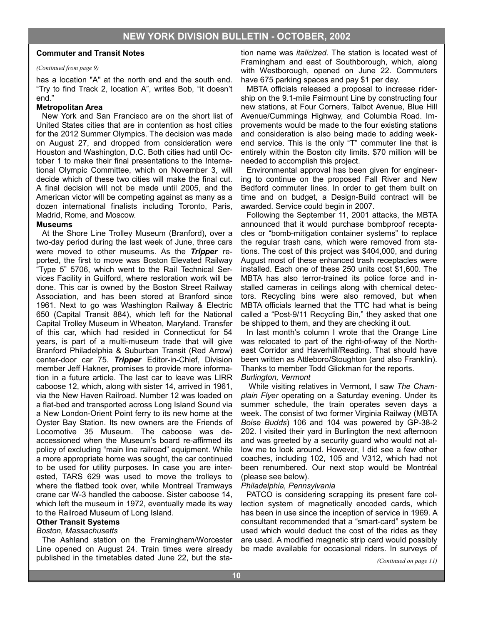#### *(Continued from page 9)*

has a location "A" at the north end and the south end. "Try to find Track 2, location A", writes Bob, "it doesn't end."

#### **Metropolitan Area**

New York and San Francisco are on the short list of United States cities that are in contention as host cities for the 2012 Summer Olympics. The decision was made on August 27, and dropped from consideration were Houston and Washington, D.C. Both cities had until October 1 to make their final presentations to the International Olympic Committee, which on November 3, will decide which of these two cities will make the final cut. A final decision will not be made until 2005, and the American victor will be competing against as many as a dozen international finalists including Toronto, Paris, Madrid, Rome, and Moscow.

#### **Museums**

At the Shore Line Trolley Museum (Branford), over a two-day period during the last week of June, three cars were moved to other museums. As the *Tripper* reported, the first to move was Boston Elevated Railway "Type 5" 5706, which went to the Rail Technical Services Facility in Guilford, where restoration work will be done. This car is owned by the Boston Street Railway Association, and has been stored at Branford since 1961. Next to go was Washington Railway & Electric 650 (Capital Transit 884), which left for the National Capital Trolley Museum in Wheaton, Maryland. Transfer of this car, which had resided in Connecticut for 54 years, is part of a multi-museum trade that will give Branford Philadelphia & Suburban Transit (Red Arrow) center-door car 75. *Tripper* Editor-in-Chief, Division member Jeff Hakner, promises to provide more information in a future article. The last car to leave was LIRR caboose 12, which, along with sister 14, arrived in 1961, via the New Haven Railroad. Number 12 was loaded on a flat-bed and transported across Long Island Sound via a New London-Orient Point ferry to its new home at the Oyster Bay Station. Its new owners are the Friends of Locomotive 35 Museum. The caboose was deaccessioned when the Museum's board re-affirmed its policy of excluding "main line railroad" equipment. While a more appropriate home was sought, the car continued to be used for utility purposes. In case you are interested, TARS 629 was used to move the trolleys to where the flatbed took over, while Montreal Tramways crane car W-3 handled the caboose. Sister caboose 14, which left the museum in 1972, eventually made its way to the Railroad Museum of Long Island.

#### **Other Transit Systems**  *Boston, Massachusetts*

The Ashland station on the Framingham/Worcester Line opened on August 24. Train times were already published in the timetables dated June 22, but the station name was *italicized*. The station is located west of Framingham and east of Southborough, which, along with Westborough, opened on June 22. Commuters have 675 parking spaces and pay \$1 per day.

MBTA officials released a proposal to increase ridership on the 9.1-mile Fairmount Line by constructing four new stations, at Four Corners, Talbot Avenue, Blue Hill Avenue/Cummings Highway, and Columbia Road. Improvements would be made to the four existing stations and consideration is also being made to adding weekend service. This is the only "T" commuter line that is entirely within the Boston city limits. \$70 million will be needed to accomplish this project.

Environmental approval has been given for engineering to continue on the proposed Fall River and New Bedford commuter lines. In order to get them built on time and on budget, a Design-Build contract will be awarded. Service could begin in 2007.

Following the September 11, 2001 attacks, the MBTA announced that it would purchase bombproof receptacles or "bomb-mitigation container systems" to replace the regular trash cans, which were removed from stations. The cost of this project was \$404,000, and during August most of these enhanced trash receptacles were installed. Each one of these 250 units cost \$1,600. The MBTA has also terror-trained its police force and installed cameras in ceilings along with chemical detectors. Recycling bins were also removed, but when MBTA officials learned that the TTC had what is being called a "Post-9/11 Recycling Bin," they asked that one be shipped to them, and they are checking it out.

In last month's column I wrote that the Orange Line was relocated to part of the right-of-way of the Northeast Corridor and Haverhill/Reading. That should have been written as Attleboro/Stoughton (and also Franklin). Thanks to member Todd Glickman for the reports. *Burlington, Vermont*

 While visiting relatives in Vermont, I saw *The Champlain Flyer* operating on a Saturday evening. Under its summer schedule, the train operates seven days a week. The consist of two former Virginia Railway (MBTA *Boise Budds*) 106 and 104 was powered by GP-38-2 202. I visited their yard in Burlington the next afternoon and was greeted by a security guard who would not allow me to look around. However, I did see a few other coaches, including 102, 105 and V312, which had not been renumbered. Our next stop would be Montréal (please see below).

#### *Philadelphia, Pennsylvania*

PATCO is considering scrapping its present fare collection system of magnetically encoded cards, which has been in use since the inception of service in 1969. A consultant recommended that a "smart-card" system be used which would deduct the cost of the rides as they are used. A modified magnetic strip card would possibly be made available for occasional riders. In surveys of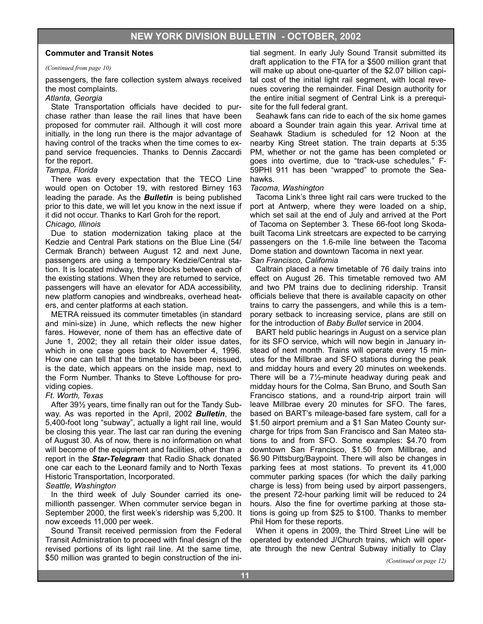#### *(Continued from page 10)*

passengers, the fare collection system always received the most complaints.

#### *Atlanta, Georgia*

State Transportation officials have decided to purchase rather than lease the rail lines that have been proposed for commuter rail. Although it will cost more initially, in the long run there is the major advantage of having control of the tracks when the time comes to expand service frequencies. Thanks to Dennis Zaccardi for the report.

#### *Tampa, Florida*

There was every expectation that the TECO Line would open on October 19, with restored Birney 163 leading the parade. As the *Bulletin* is being published prior to this date, we will let you know in the next issue if it did not occur. Thanks to Karl Groh for the report. *Chicago, Illinois*

Due to station modernization taking place at the Kedzie and Central Park stations on the Blue Line (54/ Cermak Branch) between August 12 and next June, passengers are using a temporary Kedzie/Central station. It is located midway, three blocks between each of the existing stations. When they are returned to service, passengers will have an elevator for ADA accessibility, new platform canopies and windbreaks, overhead heaters, and center platforms at each station.

METRA reissued its commuter timetables (in standard and mini-size) in June, which reflects the new higher fares. However, none of them has an effective date of June 1, 2002; they all retain their older issue dates, which in one case goes back to November 4, 1996. How one can tell that the timetable has been reissued, is the date, which appears on the inside map, next to the Form Number. Thanks to Steve Lofthouse for providing copies.

#### *Ft. Worth, Texas*

After 39½ years, time finally ran out for the Tandy Subway. As was reported in the April, 2002 *Bulletin*, the 5,400-foot long "subway", actually a light rail line, would be closing this year. The last car ran during the evening of August 30. As of now, there is no information on what will become of the equipment and facilities, other than a report in the *Star-Telegram* that Radio Shack donated one car each to the Leonard family and to North Texas Historic Transportation, Incorporated.

#### *Seattle, Washington*

In the third week of July Sounder carried its onemillionth passenger. When commuter service began in September 2000, the first week's ridership was 5,200. It now exceeds 11,000 per week.

Sound Transit received permission from the Federal Transit Administration to proceed with final design of the revised portions of its light rail line. At the same time, \$50 million was granted to begin construction of the ini-

tial segment. In early July Sound Transit submitted its draft application to the FTA for a \$500 million grant that will make up about one-quarter of the \$2.07 billion capital cost of the initial light rail segment, with local revenues covering the remainder. Final Design authority for the entire initial segment of Central Link is a prerequisite for the full federal grant.

Seahawk fans can ride to each of the six home games aboard a Sounder train again this year. Arrival time at Seahawk Stadium is scheduled for 12 Noon at the nearby King Street station. The train departs at 5:35 PM, whether or not the game has been completed or goes into overtime, due to "track-use schedules." F-59PHI 911 has been "wrapped" to promote the Seahawks.

#### *Tacoma, Washington*

Tacoma Link's three light rail cars were trucked to the port at Antwerp, where they were loaded on a ship, which set sail at the end of July and arrived at the Port of Tacoma on September 3. These 66-foot long Skodabuilt Tacoma Link streetcars are expected to be carrying passengers on the 1.6-mile line between the Tacoma Dome station and downtown Tacoma in next year.

#### *San Francisco, California*

Caltrain placed a new timetable of 76 daily trains into effect on August 26. This timetable removed two AM and two PM trains due to declining ridership. Transit officials believe that there is available capacity on other trains to carry the passengers, and while this is a temporary setback to increasing service, plans are still on for the introduction of *Baby Bullet* service in 2004.

BART held public hearings in August on a service plan for its SFO service, which will now begin in January instead of next month. Trains will operate every 15 minutes for the Millbrae and SFO stations during the peak and midday hours and every 20 minutes on weekends. There will be a 7½-minute headway during peak and midday hours for the Colma, San Bruno, and South San Francisco stations, and a round-trip airport train will leave Millbrae every 20 minutes for SFO. The fares, based on BART's mileage-based fare system, call for a \$1.50 airport premium and a \$1 San Mateo County surcharge for trips from San Francisco and San Mateo stations to and from SFO. Some examples: \$4.70 from downtown San Francisco, \$1.50 from Millbrae, and \$6.90 Pittsburg/Baypoint. There will also be changes in parking fees at most stations. To prevent its 41,000 commuter parking spaces (for which the daily parking charge is less) from being used by airport passengers, the present 72-hour parking limit will be reduced to 24 hours. Also the fine for overtime parking at those stations is going up from \$25 to \$100. Thanks to member Phil Hom for these reports.

When it opens in 2009, the Third Street Line will be operated by extended J/Church trains, which will operate through the new Central Subway initially to Clay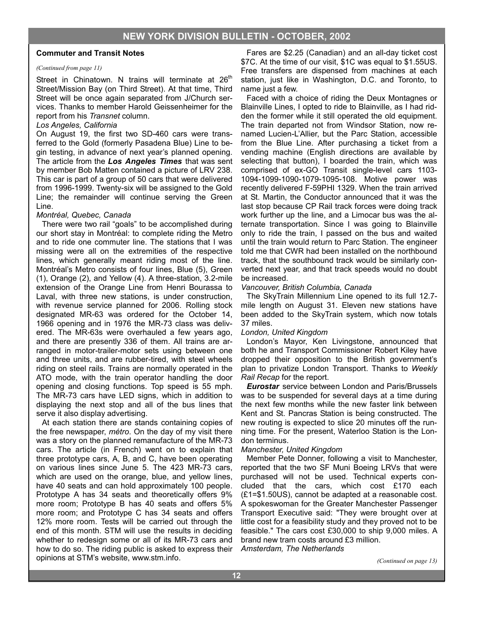#### *(Continued from page 11)*

Street in Chinatown. N trains will terminate at  $26<sup>th</sup>$ Street/Mission Bay (on Third Street). At that time, Third Street will be once again separated from J/Church services. Thanks to member Harold Geissenheimer for the report from his *Transnet* column.

#### *Los Angeles, California*

On August 19, the first two SD-460 cars were transferred to the Gold (formerly Pasadena Blue) Line to begin testing, in advance of next year's planned opening. The article from the *Los Angeles Times* that was sent by member Bob Matten contained a picture of LRV 238. This car is part of a group of 50 cars that were delivered from 1996-1999. Twenty-six will be assigned to the Gold Line; the remainder will continue serving the Green Line.

#### *Montréal, Quebec, Canada*

There were two rail "goals" to be accomplished during our short stay in Montréal: to complete riding the Metro and to ride one commuter line. The stations that I was missing were all on the extremities of the respective lines, which generally meant riding most of the line. Montréal's Metro consists of four lines, Blue (5), Green (1), Orange (2), and Yellow (4). A three-station, 3.2-mile extension of the Orange Line from Henri Bourassa to Laval, with three new stations, is under construction, with revenue service planned for 2006. Rolling stock designated MR-63 was ordered for the October 14, 1966 opening and in 1976 the MR-73 class was delivered. The MR-63s were overhauled a few years ago, and there are presently 336 of them. All trains are arranged in motor-trailer-motor sets using between one and three units, and are rubber-tired, with steel wheels riding on steel rails. Trains are normally operated in the ATO mode, with the train operator handling the door opening and closing functions. Top speed is 55 mph. The MR-73 cars have LED signs, which in addition to displaying the next stop and all of the bus lines that serve it also display advertising.

At each station there are stands containing copies of the free newspaper, *métro*. On the day of my visit there was a story on the planned remanufacture of the MR-73 cars. The article (in French) went on to explain that three prototype cars, A, B, and C, have been operating on various lines since June 5. The 423 MR-73 cars, which are used on the orange, blue, and yellow lines, have 40 seats and can hold approximately 100 people. Prototype A has 34 seats and theoretically offers 9% more room; Prototype B has 40 seats and offers 5% more room; and Prototype C has 34 seats and offers 12% more room. Tests will be carried out through the end of this month. STM will use the results in deciding whether to redesign some or all of its MR-73 cars and how to do so. The riding public is asked to express their opinions at STM's website, www.stm.info.

Fares are \$2.25 (Canadian) and an all-day ticket cost \$7C. At the time of our visit, \$1C was equal to \$1.55US. Free transfers are dispensed from machines at each station, just like in Washington, D.C. and Toronto, to name just a few.

Faced with a choice of riding the Deux Montagnes or Blainville Lines, I opted to ride to Blainville, as I had ridden the former while it still operated the old equipment. The train departed not from Windsor Station, now renamed Lucien-L'Allier, but the Parc Station, accessible from the Blue Line. After purchasing a ticket from a vending machine (English directions are available by selecting that button), I boarded the train, which was comprised of ex-GO Transit single-level cars 1103- 1094-1099-1090-1079-1095-108. Motive power was recently delivered F-59PHI 1329. When the train arrived at St. Martin, the Conductor announced that it was the last stop because CP Rail track forces were doing track work further up the line, and a Limocar bus was the alternate transportation. Since I was going to Blainville only to ride the train, I passed on the bus and waited until the train would return to Parc Station. The engineer told me that CWR had been installed on the northbound track, that the southbound track would be similarly converted next year, and that track speeds would no doubt be increased.

#### *Vancouver, British Columbia, Canada*

The SkyTrain Millennium Line opened to its full 12.7 mile length on August 31. Eleven new stations have been added to the SkyTrain system, which now totals 37 miles.

#### *London, United Kingdom*

London's Mayor, Ken Livingstone, announced that both he and Transport Commissioner Robert Kiley have dropped their opposition to the British government's plan to privatize London Transport. Thanks to *Weekly Rail Recap* for the report.

*Eurostar* service between London and Paris/Brussels was to be suspended for several days at a time during the next few months while the new faster link between Kent and St. Pancras Station is being constructed. The new routing is expected to slice 20 minutes off the running time. For the present, Waterloo Station is the London terminus.

#### *Manchester, United Kingdom*

Member Pete Donner, following a visit to Manchester, reported that the two SF Muni Boeing LRVs that were purchased will not be used. Technical experts concluded that the cars, which cost £170 each (£1=\$1.50US), cannot be adapted at a reasonable cost. A spokeswoman for the Greater Manchester Passenger Transport Executive said: "They were brought over at little cost for a feasibility study and they proved not to be feasible." The cars cost £30,000 to ship 9,000 miles. A brand new tram costs around £3 million. *Amsterdam, The Netherlands*

*(Continued on page 13)*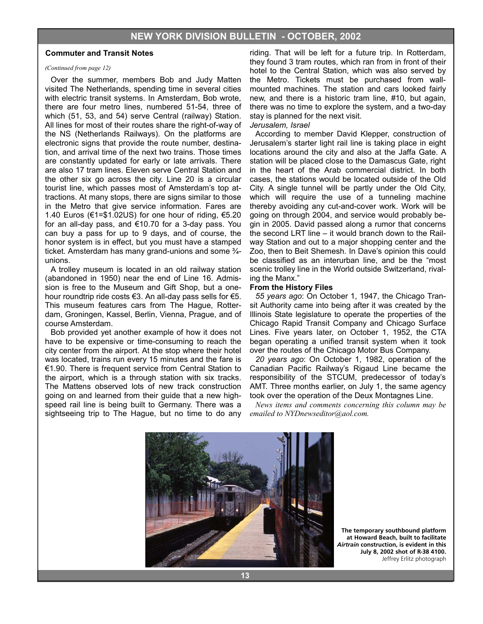#### *(Continued from page 12)*

Over the summer, members Bob and Judy Matten visited The Netherlands, spending time in several cities with electric transit systems. In Amsterdam, Bob wrote, there are four metro lines, numbered 51-54, three of which (51, 53, and 54) serve Central (railway) Station. All lines for most of their routes share the right-of-way of the NS (Netherlands Railways). On the platforms are electronic signs that provide the route number, destination, and arrival time of the next two trains. Those times are constantly updated for early or late arrivals. There are also 17 tram lines. Eleven serve Central Station and the other six go across the city. Line 20 is a circular tourist line, which passes most of Amsterdam's top attractions. At many stops, there are signs similar to those in the Metro that give service information. Fares are 1.40 Euros (€1=\$1.02US) for one hour of riding,  $€5.20$ for an all-day pass, and €10.70 for a 3-day pass. You can buy a pass for up to 9 days, and of course, the honor system is in effect, but you must have a stamped ticket. Amsterdam has many grand-unions and some ¾ unions.

A trolley museum is located in an old railway station (abandoned in 1950) near the end of Line 16. Admission is free to the Museum and Gift Shop, but a onehour roundtrip ride costs €3. An all-day pass sells for €5. This museum features cars from The Hague, Rotterdam, Groningen, Kassel, Berlin, Vienna, Prague, and of course Amsterdam.

Bob provided yet another example of how it does not have to be expensive or time-consuming to reach the city center from the airport. At the stop where their hotel was located, trains run every 15 minutes and the fare is €1.90. There is frequent service from Central Station to the airport, which is a through station with six tracks. The Mattens observed lots of new track construction going on and learned from their guide that a new highspeed rail line is being built to Germany. There was a sightseeing trip to The Hague, but no time to do any

riding. That will be left for a future trip. In Rotterdam, they found 3 tram routes, which ran from in front of their hotel to the Central Station, which was also served by the Metro. Tickets must be purchased from wallmounted machines. The station and cars looked fairly new, and there is a historic tram line, #10, but again, there was no time to explore the system, and a two-day stay is planned for the next visit.

#### *Jerusalem, Israel*

According to member David Klepper, construction of Jerusalem's starter light rail line is taking place in eight locations around the city and also at the Jaffa Gate. A station will be placed close to the Damascus Gate, right in the heart of the Arab commercial district. In both cases, the stations would be located outside of the Old City. A single tunnel will be partly under the Old City, which will require the use of a tunneling machine thereby avoiding any cut-and-cover work. Work will be going on through 2004, and service would probably begin in 2005. David passed along a rumor that concerns the second LRT line – it would branch down to the Railway Station and out to a major shopping center and the Zoo, then to Beit Shemesh. In Dave's opinion this could be classified as an interurban line, and be the "most scenic trolley line in the World outside Switzerland, rivaling the Manx."

#### **From the History Files**

*55 years ago*: On October 1, 1947, the Chicago Transit Authority came into being after it was created by the Illinois State legislature to operate the properties of the Chicago Rapid Transit Company and Chicago Surface Lines. Five years later, on October 1, 1952, the CTA began operating a unified transit system when it took over the routes of the Chicago Motor Bus Company.

*20 years ago*: On October 1, 1982, operation of the Canadian Pacific Railway's Rigaud Line became the responsibility of the STCUM, predecessor of today's AMT. Three months earlier, on July 1, the same agency took over the operation of the Deux Montagnes Line.

*News items and comments concerning this column may be emailed to NYDnewseditor@aol.com.*



**The temporary southbound platform at Howard Beach, built to facilitate**  *Airtrain* **construction, is evident in this July 8, 2002 shot of R-38 4100.**  Jeffrey Erlitz photograph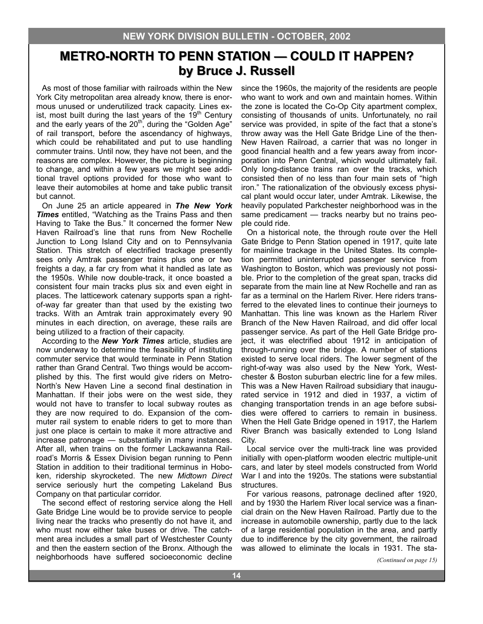# **METRO-NORTH TO PENN STATION — COULD IT HAPPEN? by Bruce J. Russell by Bruce J. Russell**

As most of those familiar with railroads within the New York City metropolitan area already know, there is enormous unused or underutilized track capacity. Lines exist, most built during the last years of the  $19<sup>th</sup>$  Century and the early years of the 20<sup>th</sup>, during the "Golden Age" of rail transport, before the ascendancy of highways, which could be rehabilitated and put to use handling commuter trains. Until now, they have not been, and the reasons are complex. However, the picture is beginning to change, and within a few years we might see additional travel options provided for those who want to leave their automobiles at home and take public transit but cannot.

On June 25 an article appeared in *The New York Times* entitled, "Watching as the Trains Pass and then Having to Take the Bus." It concerned the former New Haven Railroad's line that runs from New Rochelle Junction to Long Island City and on to Pennsylvania Station. This stretch of electrified trackage presently sees only Amtrak passenger trains plus one or two freights a day, a far cry from what it handled as late as the 1950s. While now double-track, it once boasted a consistent four main tracks plus six and even eight in places. The latticework catenary supports span a rightof-way far greater than that used by the existing two tracks. With an Amtrak train approximately every 90 minutes in each direction, on average, these rails are being utilized to a fraction of their capacity.

According to the *New York Times* article, studies are now underway to determine the feasibility of instituting commuter service that would terminate in Penn Station rather than Grand Central. Two things would be accomplished by this. The first would give riders on Metro-North's New Haven Line a second final destination in Manhattan. If their jobs were on the west side, they would not have to transfer to local subway routes as they are now required to do. Expansion of the commuter rail system to enable riders to get to more than just one place is certain to make it more attractive and increase patronage — substantially in many instances. After all, when trains on the former Lackawanna Railroad's Morris & Essex Division began running to Penn Station in addition to their traditional terminus in Hoboken, ridership skyrocketed. The new *Midtown Direct*  service seriously hurt the competing Lakeland Bus Company on that particular corridor.

The second effect of restoring service along the Hell Gate Bridge Line would be to provide service to people living near the tracks who presently do not have it, and who must now either take buses or drive. The catchment area includes a small part of Westchester County and then the eastern section of the Bronx. Although the neighborhoods have suffered socioeconomic decline

since the 1960s, the majority of the residents are people who want to work and own and maintain homes. Within the zone is located the Co-Op City apartment complex, consisting of thousands of units. Unfortunately, no rail service was provided, in spite of the fact that a stone's throw away was the Hell Gate Bridge Line of the then-New Haven Railroad, a carrier that was no longer in good financial health and a few years away from incorporation into Penn Central, which would ultimately fail. Only long-distance trains ran over the tracks, which consisted then of no less than four main sets of "high iron." The rationalization of the obviously excess physical plant would occur later, under Amtrak. Likewise, the heavily populated Parkchester neighborhood was in the same predicament — tracks nearby but no trains people could ride.

On a historical note, the through route over the Hell Gate Bridge to Penn Station opened in 1917, quite late for mainline trackage in the United States. Its completion permitted uninterrupted passenger service from Washington to Boston, which was previously not possible. Prior to the completion of the great span, tracks did separate from the main line at New Rochelle and ran as far as a terminal on the Harlem River. Here riders transferred to the elevated lines to continue their journeys to Manhattan. This line was known as the Harlem River Branch of the New Haven Railroad, and did offer local passenger service. As part of the Hell Gate Bridge project, it was electrified about 1912 in anticipation of through-running over the bridge. A number of stations existed to serve local riders. The lower segment of the right-of-way was also used by the New York, Westchester & Boston suburban electric line for a few miles. This was a New Haven Railroad subsidiary that inaugurated service in 1912 and died in 1937, a victim of changing transportation trends in an age before subsidies were offered to carriers to remain in business. When the Hell Gate Bridge opened in 1917, the Harlem River Branch was basically extended to Long Island City.

Local service over the multi-track line was provided initially with open-platform wooden electric multiple-unit cars, and later by steel models constructed from World War I and into the 1920s. The stations were substantial structures.

For various reasons, patronage declined after 1920, and by 1930 the Harlem River local service was a financial drain on the New Haven Railroad. Partly due to the increase in automobile ownership, partly due to the lack of a large residential population in the area, and partly due to indifference by the city government, the railroad was allowed to eliminate the locals in 1931. The sta-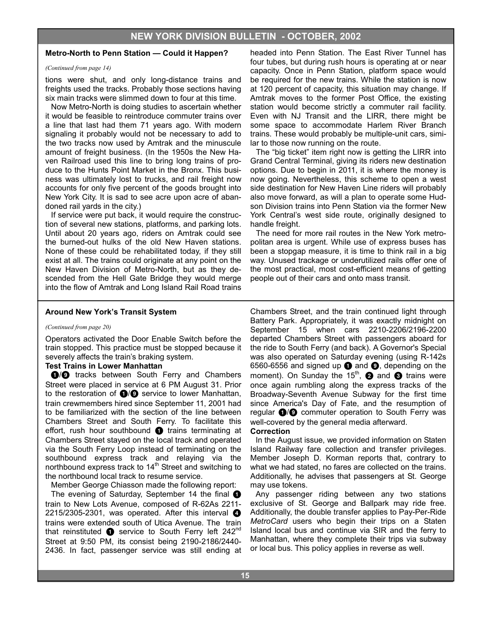#### **Metro-North to Penn Station — Could it Happen?**

#### *(Continued from page 14)*

tions were shut, and only long-distance trains and freights used the tracks. Probably those sections having six main tracks were slimmed down to four at this time.

Now Metro-North is doing studies to ascertain whether it would be feasible to reintroduce commuter trains over a line that last had them 71 years ago. With modern signaling it probably would not be necessary to add to the two tracks now used by Amtrak and the minuscule amount of freight business. (In the 1950s the New Haven Railroad used this line to bring long trains of produce to the Hunts Point Market in the Bronx. This business was ultimately lost to trucks, and rail freight now accounts for only five percent of the goods brought into New York City. It is sad to see acre upon acre of abandoned rail yards in the city.)

If service were put back, it would require the construction of several new stations, platforms, and parking lots. Until about 20 years ago, riders on Amtrak could see the burned-out hulks of the old New Haven stations. None of these could be rehabilitated today, if they still exist at all. The trains could originate at any point on the New Haven Division of Metro-North, but as they descended from the Hell Gate Bridge they would merge into the flow of Amtrak and Long Island Rail Road trains headed into Penn Station. The East River Tunnel has four tubes, but during rush hours is operating at or near capacity. Once in Penn Station, platform space would be required for the new trains. While the station is now at 120 percent of capacity, this situation may change. If Amtrak moves to the former Post Office, the existing station would become strictly a commuter rail facility. Even with NJ Transit and the LIRR, there might be some space to accommodate Harlem River Branch trains. These would probably be multiple-unit cars, similar to those now running on the route.

The "big ticket" item right now is getting the LIRR into Grand Central Terminal, giving its riders new destination options. Due to begin in 2011, it is where the money is now going. Nevertheless, this scheme to open a west side destination for New Haven Line riders will probably also move forward, as will a plan to operate some Hudson Division trains into Penn Station via the former New York Central's west side route, originally designed to handle freight.

The need for more rail routes in the New York metropolitan area is urgent. While use of express buses has been a stopgap measure, it is time to think rail in a big way. Unused trackage or underutilized rails offer one of the most practical, most cost-efficient means of getting people out of their cars and onto mass transit.

#### **Around New York's Transit System**

#### *(Continued from page 20)*

Operators activated the Door Enable Switch before the train stopped. This practice must be stopped because it severely affects the train's braking system.

#### **Test Trains in Lower Manhattan**

 $\bigcirc$  tracks between South Ferry and Chambers Street were placed in service at 6 PM August 31. Prior to the restoration of  $\bigcirc$ / $\bigcirc$  service to lower Manhattan, train crewmembers hired since September 11, 2001 had to be familiarized with the section of the line between Chambers Street and South Ferry. To facilitate this effort, rush hour southbound  $\bullet$  trains terminating at Chambers Street stayed on the local track and operated via the South Ferry Loop instead of terminating on the southbound express track and relaying via the northbound express track to  $14<sup>th</sup>$  Street and switching to the northbound local track to resume service.

Member George Chiasson made the following report:

The evening of Saturday, September 14 the final  $\bullet$ train to New Lots Avenue, composed of R-62As 2211- 2215/2305-2301, was operated. After this interval  $\bullet$ trains were extended south of Utica Avenue. The train that reinstituted  $\bullet$  service to South Ferry left 242<sup>nd</sup> Street at 9:50 PM, its consist being 2190-2186/2440- 2436. In fact, passenger service was still ending at

Chambers Street, and the train continued light through Battery Park. Appropriately, it was exactly midnight on September 15 when cars 2210-2206/2196-2200 departed Chambers Street with passengers aboard for the ride to South Ferry (and back). A Governor's Special was also operated on Saturday evening (using R-142s 6560-6556 and signed up  $\bullet$  and  $\bullet$ , depending on the moment). On Sunday the 15<sup>th</sup>, **2** and **3** trains were once again rumbling along the express tracks of the Broadway-Seventh Avenue Subway for the first time since America's Day of Fate, and the resumption of regular  $\bigcirc$ / $\bigcirc$  commuter operation to South Ferry was well-covered by the general media afterward.

#### **Correction**

In the August issue, we provided information on Staten Island Railway fare collection and transfer privileges. Member Joseph D. Korman reports that, contrary to what we had stated, no fares are collected on the trains. Additionally, he advises that passengers at St. George may use tokens.

Any passenger riding between any two stations exclusive of St. George and Ballpark may ride free. Additionally, the double transfer applies to Pay-Per-Ride *MetroCard* users who begin their trips on a Staten Island local bus and continue via SIR and the ferry to Manhattan, where they complete their trips via subway or local bus. This policy applies in reverse as well.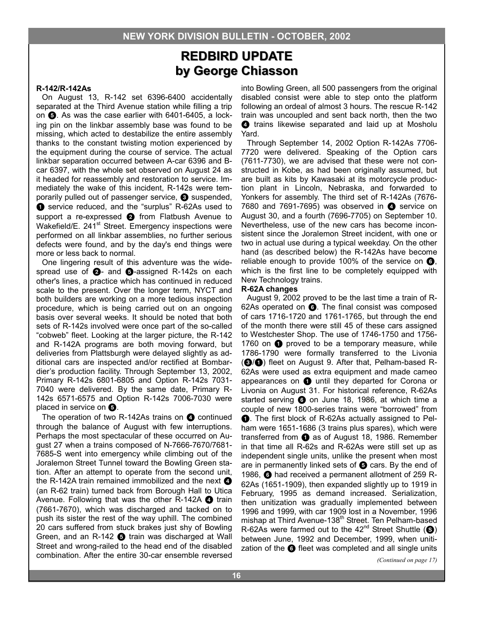# **REDBIRD UPDATE REDBIRD UPDATE by George Chiasson by George Chiasson**

#### **R-142/R-142As**

On August 13, R-142 set 6396-6400 accidentally separated at the Third Avenue station while filling a trip on  $\bigodot$ . As was the case earlier with 6401-6405, a locking pin on the linkbar assembly base was found to be missing, which acted to destabilize the entire assembly thanks to the constant twisting motion experienced by the equipment during the course of service. The actual linkbar separation occurred between A-car 6396 and Bcar 6397, with the whole set observed on August 24 as it headed for reassembly and restoration to service. Immediately the wake of this incident, R-142s were temporarily pulled out of passenger service,  $\bigcirc$  suspended, **1** service reduced, and the "surplus" R-62As used to support a re-expressed @ from Flatbush Avenue to Wakefield/E. 241<sup>st</sup> Street. Emergency inspections were performed on all linkbar assemblies, no further serious defects were found, and by the day's end things were more or less back to normal.

One lingering result of this adventure was the widespread use of  $\bigcirc$ - and  $\bigcirc$ -assigned R-142s on each other's lines, a practice which has continued in reduced scale to the present. Over the longer term, NYCT and both builders are working on a more tedious inspection procedure, which is being carried out on an ongoing basis over several weeks. It should be noted that both sets of R-142s involved were once part of the so-called "cobweb" fleet. Looking at the larger picture, the R-142 and R-142A programs are both moving forward, but deliveries from Plattsburgh were delayed slightly as additional cars are inspected and/or rectified at Bombardier's production facility. Through September 13, 2002, Primary R-142s 6801-6805 and Option R-142s 7031- 7040 were delivered. By the same date, Primary R-142s 6571-6575 and Option R-142s 7006-7030 were placed in service on  $\mathbf{\Theta}$ .

The operation of two R-142As trains on  $\bullet$  continued through the balance of August with few interruptions. Perhaps the most spectacular of these occurred on August 27 when a trains composed of N-7666-7670/7681- 7685-S went into emergency while climbing out of the Joralemon Street Tunnel toward the Bowling Green station. After an attempt to operate from the second unit, the R-142A train remained immobilized and the next  $\bullet$ (an R-62 train) turned back from Borough Hall to Utica Avenue. Following that was the other R-142A  $\bullet$  train (7661-7670), which was discharged and tacked on to push its sister the rest of the way uphill. The combined 20 cars suffered from stuck brakes just shy of Bowling Green, and an R-142  $\bigodot$  train was discharged at Wall Street and wrong-railed to the head end of the disabled combination. After the entire 30-car ensemble reversed

into Bowling Green, all 500 passengers from the original disabled consist were able to step onto the platform following an ordeal of almost 3 hours. The rescue R-142 train was uncoupled and sent back north, then the two **4** trains likewise separated and laid up at Mosholu Yard.

Through September 14, 2002 Option R-142As 7706- 7720 were delivered. Speaking of the Option cars (7611-7730), we are advised that these were not constructed in Kobe, as had been originally assumed, but are built as kits by Kawasaki at its motorcycle production plant in Lincoln, Nebraska, and forwarded to Yonkers for assembly. The third set of R-142As (7676- 7680 and 7691-7695) was observed in  $\bullet$  service on August 30, and a fourth (7696-7705) on September 10. Nevertheless, use of the new cars has become inconsistent since the Joralemon Street incident, with one or two in actual use during a typical weekday. On the other hand (as described below) the R-142As have become reliable enough to provide 100% of the service on  $\mathbf{\odot}$ . which is the first line to be completely equipped with New Technology trains.

#### **R-62A changes**

August 9, 2002 proved to be the last time a train of R-62As operated on  $\bigcirc$ . The final consist was composed of cars 1716-1720 and 1761-1765, but through the end of the month there were still 45 of these cars assigned to Westchester Shop. The use of 1746-1750 and 1756- 1760 on  $\bullet$  proved to be a temporary measure, while 1786-1790 were formally transferred to the Livonia (3/<sup>0</sup>) fleet on August 9. After that, Pelham-based R-62As were used as extra equipment and made cameo appearances on  $\bigcirc$  until they departed for Corona or Livonia on August 31. For historical reference, R-62As started serving  $\odot$  on June 18, 1986, at which time a couple of new 1800-series trains were "borrowed" from 1. The first block of R-62As actually assigned to Pelham were 1651-1686 (3 trains plus spares), which were transferred from  $\bullet$  as of August 18, 1986. Remember in that time all R-62s and R-62As were still set up as independent single units, unlike the present when most are in permanently linked sets of  $\bigodot$  cars. By the end of 1986, 6 had received a permanent allotment of 259 R-62As (1651-1909), then expanded slightly up to 1919 in February, 1995 as demand increased. Serialization, then unitization was gradually implemented between 1996 and 1999, with car 1909 lost in a November, 1996 mishap at Third Avenue-138<sup>th</sup> Street. Ten Pelham-based R-62As were farmed out to the  $42<sup>nd</sup>$  Street Shuttle ( $\bigcirc$ ) between June, 1992 and December, 1999, when unitization of the  $\odot$  fleet was completed and all single units

*(Continued on page 17)*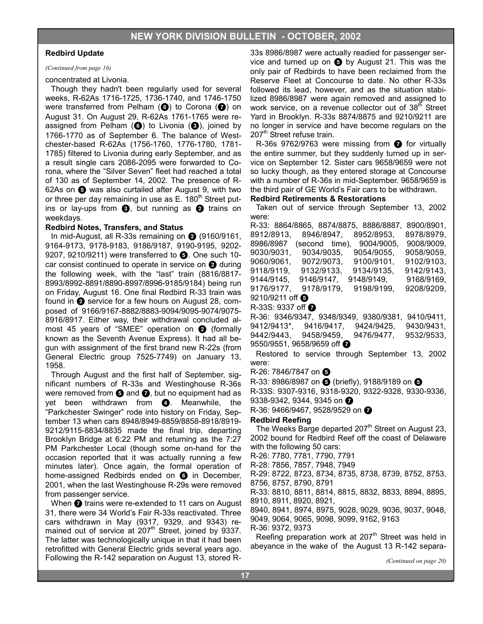#### **Redbird Update**

#### *(Continued from page 16)*

#### concentrated at Livonia.

Though they hadn't been regularly used for several weeks, R-62As 1716-1725, 1736-1740, and 1746-1750 were transferred from Pelham ( $\odot$ ) to Corona ( $\odot$ ) on August 31. On August 29, R-62As 1761-1765 were reassigned from Pelham  $\left(\bigodot\right)$  to Livonia  $\left(\bigodot\right)$ , joined by 1766-1770 as of September 6. The balance of Westchester-based R-62As (1756-1760, 1776-1780, 1781- 1785) filtered to Livonia during early September, and as a result single cars 2086-2095 were forwarded to Corona, where the "Silver Seven" fleet had reached a total of 130 as of September 14, 2002. The presence of R-62As on  $\bigoplus$  was also curtailed after August 9, with two or three per day remaining in use as  $E$ . 180<sup>th</sup> Street putins or lay-ups from  $\bigcirc$ , but running as  $\bigcirc$  trains on weekdays.

#### **Redbird Notes, Transfers, and Status**

In mid-August, all R-33s remaining on  $\bigcirc$  (9160/9161, 9164-9173, 9178-9183, 9186/9187, 9190-9195, 9202- 9207, 9210/9211) were transferred to  $\bullet$ . One such 10car consist continued to operate in service on  $\bullet$  during the following week, with the "last" train (8816/8817- 8993/8992-8891/8890-8997/8996-9185/9184) being run on Friday, August 16. One final Redbird R-33 train was found in  $\bullet$  service for a few hours on August 28, composed of 9166/9167-8882/8883-9094/9095-9074/9075- 8916/8917. Either way, their withdrawal concluded almost 45 years of "SMEE" operation on  $\bullet$  (formally known as the Seventh Avenue Express). It had all begun with assignment of the first brand new R-22s (from General Electric group 7525-7749) on January 13, 1958.

Through August and the first half of September, significant numbers of R-33s and Westinghouse R-36s were removed from  $\Theta$  and  $\Theta$ , but no equipment had as yet been withdrawn from  $\bigcirc$ . Meanwhile, the "Parkchester Swinger" rode into history on Friday, September 13 when cars 8948/8949-8859/8858-8918/8919- 9212/9115-8834/8835 made the final trip, departing Brooklyn Bridge at 6:22 PM and returning as the 7:27 PM Parkchester Local (though some on-hand for the occasion reported that it was actually running a few minutes later). Once again, the formal operation of home-assigned Redbirds ended on  $\bigcirc$  in December, 2001, when the last Westinghouse R-29s were removed from passenger service.

When  $\bullet$  trains were re-extended to 11 cars on August 31, there were 34 World's Fair R-33s reactivated. Three cars withdrawn in May (9317, 9329, and 9343) remained out of service at  $207<sup>th</sup>$  Street, joined by 9337. The latter was technologically unique in that it had been retrofitted with General Electric grids several years ago. Following the R-142 separation on August 13, stored R-

33s 8986/8987 were actually readied for passenger service and turned up on  $\bigcirc$  by August 21. This was the only pair of Redbirds to have been reclaimed from the Reserve Fleet at Concourse to date. No other R-33s followed its lead, however, and as the situation stabilized 8986/8987 were again removed and assigned to work service, on a revenue collector out of 38<sup>th</sup> Street Yard in Brooklyn. R-33s 8874/8875 and 9210/9211 are no longer in service and have become regulars on the 207<sup>th</sup> Street refuse train.

R-36s 9762/9763 were missing from  $\bullet$  for virtually the entire summer, but they suddenly turned up in service on September 12. Sister cars 9658/9659 were not so lucky though, as they entered storage at Concourse with a number of R-36s in mid-September. 9658/9659 is the third pair of GE World's Fair cars to be withdrawn.

#### **Redbird Retirements & Restorations**

Taken out of service through September 13, 2002 were:

| 8900/8901.<br>R-33: 8864/8865. 8874/8875. 8886/8887.         |
|--------------------------------------------------------------|
| 8912/8913.<br>8946/8947.<br>8952/8953.<br>8978/8979.         |
| (second time).<br>9008/9009.<br>8986/8987<br>9004/9005.      |
| 9030/9031.<br>9034/9035,<br>9054/9055,<br>9058/9059.         |
| 9060/9061.<br>9072/9073.<br>9100/9101.<br>9102/9103.         |
| 9118/9119, 9132/9133,<br>9134/9135.<br>9142/9143.            |
| 9144/9145, 9146/9147,<br>9148/9149.<br>9168/9169.            |
| 9198/9199.<br>9178/9179.<br>9208/9209.<br>9176/9177,         |
| 9210/9211 off $\bullet$                                      |
| $R-33S: 9337$ off $\odot$                                    |
| R-36: 9346/9347, 9348/9349, 9380/9381,<br>9410/9411,         |
| 9412/9413*, 9416/9417, 9424/9425,<br>9430/9431.              |
| 9442/9443, 9458/9459,<br>9532/9533.<br>9476/9477.            |
| 9550/9551, 9658/9659 off $\bullet$                           |
| Restored to service through September 13, 2002               |
| were:                                                        |
| R-26: 7846/7847 on <b>6</b>                                  |
| R-33: 8986/8987 on <b>+</b> (briefly), 9188/9189 on <b>+</b> |
| R-33S: 9307-9316, 9318-9320, 9322-9328, 9330-9336,           |
| 9338-9342, 9344, 9345 on @                                   |
|                                                              |
| R-36: 9466/9467, 9528/9529 on <i>O</i>                       |

#### **Redbird Reefing**

The Weeks Barge departed  $207<sup>th</sup>$  Street on August 23, 2002 bound for Redbird Reef off the coast of Delaware with the following 50 cars:

R-26: 7780, 7781, 7790, 7791 R-28: 7856, 7857, 7948, 7949 R-29: 8722, 8723, 8734, 8735, 8738, 8739, 8752, 8753, 8756, 8757, 8790, 8791 R-33: 8810, 8811, 8814, 8815, 8832, 8833, 8894, 8895, 8910, 8911, 8920, 8921,

8940, 8941, 8974, 8975, 9028, 9029, 9036, 9037, 9048, 9049, 9064, 9065, 9098, 9099, 9162, 9163 R-36: 9372, 9373

Reefing preparation work at 207<sup>th</sup> Street was held in abeyance in the wake of the August 13 R-142 separa-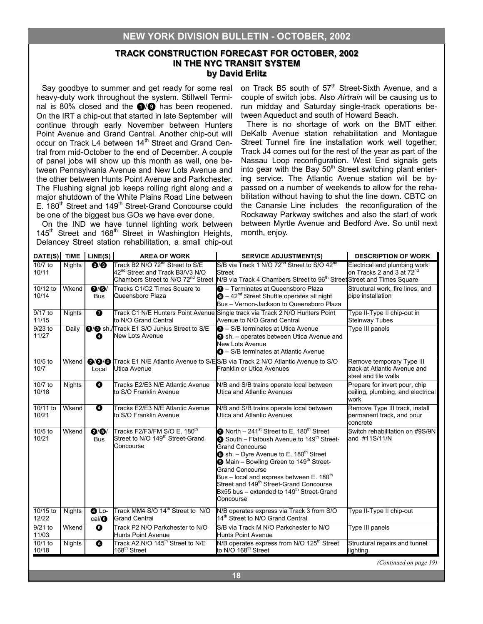### **TRACK CONSTRUCTION FORECAST FOR OCTOBER, 2002 TRACK CONSTRUCTION FORECAST OCTOBER, 2002 IN THE NYC TRANSIT SYSTEM IN THE by David Erlitz by David Erlitz**

Say goodbye to summer and get ready for some real heavy-duty work throughout the system. Stillwell Terminal is 80% closed and the  $\bigcirc$ / $\bigcirc$  has been reopened. On the IRT a chip-out that started in late September will continue through early November between Hunters Point Avenue and Grand Central. Another chip-out will occur on Track L4 between 14<sup>th</sup> Street and Grand Central from mid-October to the end of December. A couple of panel jobs will show up this month as well, one between Pennsylvania Avenue and New Lots Avenue and the other between Hunts Point Avenue and Parkchester. The Flushing signal job keeps rolling right along and a major shutdown of the White Plains Road Line between E. 180<sup>th</sup> Street and 149<sup>th</sup> Street-Grand Concourse could be one of the biggest bus GOs we have ever done.

On the IND we have tunnel lighting work between 145<sup>th</sup> Street and 168<sup>th</sup> Street in Washington Heights, Delancey Street station rehabilitation, a small chip-out on Track B5 south of 57<sup>th</sup> Street-Sixth Avenue, and a couple of switch jobs. Also *Airtrain* will be causing us to run midday and Saturday single-track operations between Aqueduct and south of Howard Beach.

There is no shortage of work on the BMT either. DeKalb Avenue station rehabilitation and Montague Street Tunnel fire line installation work well together; Track J4 comes out for the rest of the year as part of the Nassau Loop reconfiguration. West End signals gets into gear with the Bay  $50<sup>th</sup>$  Street switching plant entering service. The Atlantic Avenue station will be bypassed on a number of weekends to allow for the rehabilitation without having to shut the line down. CBTC on the Canarsie Line includes the reconfiguration of the Rockaway Parkway switches and also the start of work between Myrtle Avenue and Bedford Ave. So until next month, enjoy.

| DATE(S)                    | <b>TIME</b>   | LINE(S)                                           | <b>AREA OF WORK</b>                                                                                   | <b>SERVICE ADJUSTMENT(S)</b>                                                                                                                                                                                                                                                                                                                                                                                                                                                       | <b>DESCRIPTION OF WORK</b>                                                        |
|----------------------------|---------------|---------------------------------------------------|-------------------------------------------------------------------------------------------------------|------------------------------------------------------------------------------------------------------------------------------------------------------------------------------------------------------------------------------------------------------------------------------------------------------------------------------------------------------------------------------------------------------------------------------------------------------------------------------------|-----------------------------------------------------------------------------------|
| $\sqrt{10/7}$ to<br>10/11  | <b>Nights</b> | Q/Q                                               | Track B2 N/O 72 <sup>nd</sup> Street to S/E<br>42 <sup>nd</sup> Street and Track B3/V3 N/O            | S/B via Track 1 N/O 72 <sup>nd</sup> Street to S/O 42 <sup>nd</sup><br><b>Street</b><br>Chambers Street to N/O 72 <sup>nd</sup> Street N/B via Track 4 Chambers Street to 96 <sup>th</sup> Street Street and Times Square                                                                                                                                                                                                                                                          | Electrical and plumbing work<br>on Tracks 2 and 3 at 72 <sup>nd</sup>             |
| 10/12 to<br>10/14          | Wkend         | $\overline{\mathbf{0}'}\mathbf{S}'$<br><b>Bus</b> | Tracks C1/C2 Times Square to<br>Queensboro Plaza                                                      | <b>O</b> - Terminates at Queensboro Plaza<br>$\bigcirc$ – 42 <sup>nd</sup> Street Shuttle operates all night<br>Bus - Vernon-Jackson to Queensboro Plaza                                                                                                                                                                                                                                                                                                                           | Structural work, fire lines, and<br>pipe installation                             |
| 9/17 to<br>11/15           | <b>Nights</b> | ➊                                                 | to N/O Grand Central                                                                                  | Track C1 N/E Hunters Point Avenue Single track via Track 2 N/O Hunters Point<br>Avenue to N/O Grand Central                                                                                                                                                                                                                                                                                                                                                                        | Type II-Type II chip-out in<br>Steinway Tubes                                     |
| $9/23$ to<br>11/27         | Daily         | ❹                                                 | <b>3/8</b> sh./Track E1 S/O Junius Street to S/E<br>New Lots Avenue                                   | <b>8</b> - S/B terminates at Utica Avenue<br>Sh. - operates between Utica Avenue and<br><b>New Lots Avenue</b><br><b>4</b> - S/B terminates at Atlantic Avenue                                                                                                                                                                                                                                                                                                                     | Type III panels                                                                   |
| 10/5 to<br>10/7            | Wkend         | Local                                             | Utica Avenue                                                                                          | @/@/@ Track E1 N/E Atlantic Avenue to S/ES/B via Track 2 N/O Atlantic Avenue to S/O<br>Franklin or Utica Avenues                                                                                                                                                                                                                                                                                                                                                                   | Remove temporary Type III<br>track at Atlantic Avenue and<br>steel and tile walls |
| 10/7 to<br>10/18           | <b>Nights</b> | ❹                                                 | Tracks E2/E3 N/E Atlantic Avenue<br>to S/O Franklin Avenue                                            | N/B and S/B trains operate local between<br>Utica and Atlantic Avenues                                                                                                                                                                                                                                                                                                                                                                                                             | Prepare for invert pour, chip<br>ceiling, plumbing, and electrical<br>work        |
| 10/11 to<br>10/21          | Wkend         | ❹                                                 | Tracks E2/E3 N/E Atlantic Avenue<br>to S/O Franklin Avenue                                            | N/B and S/B trains operate local between<br>Utica and Atlantic Avenues                                                                                                                                                                                                                                                                                                                                                                                                             | Remove Type III track, install<br>permanent track, and pour<br>concrete           |
| $\frac{10}{5}$ to<br>10/21 | Wkend         | Q/G<br><b>Bus</b>                                 | Tracks F2/F3/FM S/O E. 180 <sup>th</sup><br>Street to N/O 149 <sup>th</sup> Street-Grand<br>Concourse | North - 241 <sup>st</sup> Street to E. 180 <sup>th</sup> Street<br>South - Flatbush Avenue to 149 <sup>th</sup> Street-<br><b>Grand Concourse</b><br>$\bullet$ sh. - Dyre Avenue to E. 180 <sup>th</sup> Street<br><b>3</b> Main - Bowling Green to 149 <sup>th</sup> Street-<br><b>Grand Concourse</b><br>Bus – local and express between E. $180th$<br>Street and 149 <sup>th</sup> Street-Grand Concourse<br>Bx55 bus - extended to 149 <sup>th</sup> Street-Grand<br>Concourse | Switch rehabilitation on #9S/9N<br>and #11S/11/N                                  |
| 10/15 to<br>12/22          | <b>Nights</b> | $Q$ Lo-<br>cal/                                   | Track MM4 S/O 14 <sup>th</sup> Street to N/O<br><b>Grand Central</b>                                  | N/B operates express via Track 3 from S/O<br>14 <sup>th</sup> Street to N/O Grand Central                                                                                                                                                                                                                                                                                                                                                                                          | Type II-Type II chip-out                                                          |
| 9/21 to<br>11/03           | Wkend         | $\bullet$                                         | Track P2 N/O Parkchester to N/O<br><b>Hunts Point Avenue</b>                                          | S/B via Track M N/O Parkchester to N/O<br><b>Hunts Point Avenue</b>                                                                                                                                                                                                                                                                                                                                                                                                                | Type III panels                                                                   |
| 10/1 to<br>10/18           | <b>Nights</b> | $\boldsymbol{\Omega}$                             | Track A2 N/O 145 <sup>th</sup> Street to N/E<br>168 <sup>th</sup> Street                              | N/B operates express from N/O 125 <sup>th</sup> Street<br>to N/O 168 <sup>th</sup> Street                                                                                                                                                                                                                                                                                                                                                                                          | Structural repairs and tunnel<br>lighting                                         |
|                            |               |                                                   |                                                                                                       |                                                                                                                                                                                                                                                                                                                                                                                                                                                                                    | (Continued on page 19)                                                            |

**18**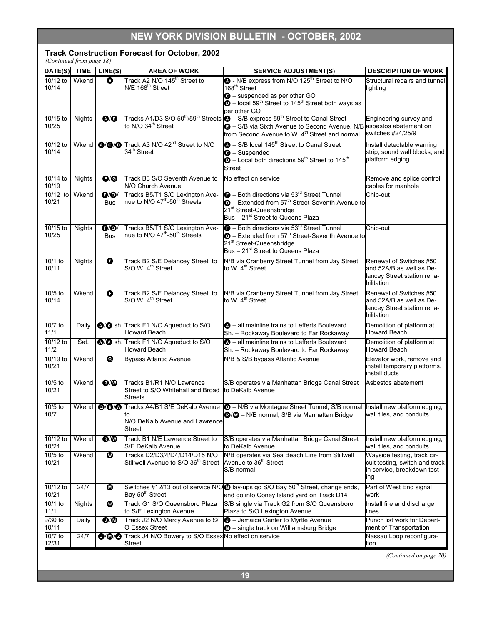### **NEW YORK DIVISION BULLETIN - OCTOBER, 2002**

#### **Track Construction Forecast for October, 2002**

| (Continued from page 18)<br>DATE(S) TIME LINE(S) |               |                                                  | <b>AREA OF WORK</b>                                                                      | <b>SERVICE ADJUSTMENT(S)</b>                                                                                                                                                                                                                                 | <b>DESCRIPTION OF WORK</b>                                                                          |
|--------------------------------------------------|---------------|--------------------------------------------------|------------------------------------------------------------------------------------------|--------------------------------------------------------------------------------------------------------------------------------------------------------------------------------------------------------------------------------------------------------------|-----------------------------------------------------------------------------------------------------|
| $10/12$ to<br>10/14                              | Wkend         | ❹                                                | Track A2 N/O 145 <sup>th</sup> Street to<br>N/E 168 <sup>th</sup> Street                 | • N/B express from N/O 125 <sup>th</sup> Street to N/O<br>168 <sup>th</sup> Street<br><b>O</b> - suspended as per other GO<br>$\bullet$ – local 59 <sup>th</sup> Street to 145 <sup>th</sup> Street both ways as<br>per other GO                             | Structural repairs and tunnel<br>lighting                                                           |
| $10/15$ to<br>10/25                              | <b>Nights</b> | $\mathbf{O}/\mathbf{O}$                          | to N/O 34 <sup>th</sup> Street                                                           | Tracks A1/D3 S/O 50 <sup>th</sup> /59 <sup>th</sup> Streets <b>O</b> - S/B express 59 <sup>th</sup> Street to Canal Street<br>S/B via Sixth Avenue to Second Avenue. N/B asbestos abatement on<br>from Second Avenue to W. 4 <sup>th</sup> Street and normal | Engineering survey and<br>switches #24/25/9                                                         |
| $10/12$ to<br>10/14                              | Wkend         |                                                  | <b>Q/O/O</b> Track A3 N/O 42 <sup>nd</sup> Street to N/O<br>34 <sup>th</sup> Street      | $\bullet$ - S/B local 145 <sup>th</sup> Street to Canal Street<br>$\Theta$ – Suspended<br>$\bullet$ – Local both directions 59 <sup>th</sup> Street to 145 <sup>th</sup><br><b>Street</b>                                                                    | Install detectable warning<br>strip, sound wall blocks, and<br>platform edging                      |
| 10/14 to<br>10/19                                | Nights        | $\mathbf{\Theta}$                                | Track B3 S/O Seventh Avenue to<br>N/O Church Avenue                                      | No effect on service                                                                                                                                                                                                                                         | Remove and splice control<br>cables for manhole                                                     |
| $10/12$ to<br>10/21                              | Wkend         | $\mathbf{\Theta}/\mathbf{\Theta}/$<br><b>Bus</b> | Tracks B5/T1 S/O Lexington Ave-<br>nue to N/O 47 <sup>th</sup> -50 <sup>th</sup> Streets | $\bullet$ – Both directions via 53 $^{rd}$ Street Tunnel<br>$\bullet$ - Extended from 57 <sup>th</sup> Street-Seventh Avenue to<br>21 <sup>st</sup> Street-Queensbridge<br>Bus - 21 <sup>st</sup> Street to Queens Plaza                                     | Chip-out                                                                                            |
| $10/15$ to<br>10/25                              | Nights        | $\mathbf{\Theta}/\mathbf{\Theta}/$<br><b>Bus</b> | Tracks B5/T1 S/O Lexington Ave-<br>nue to N/O 47 <sup>th</sup> -50 <sup>th</sup> Streets | <b>a</b> - Both directions via 53 <sup>rd</sup> Street Tunnel<br>$\bullet$ - Extended from 57 <sup>th</sup> Street-Seventh Avenue to<br>21 <sup>st</sup> Street-Queensbridge<br>Bus - 21 <sup>st</sup> Street to Queens Plaza                                | Chip-out                                                                                            |
| 10/1 to<br>10/11                                 | <b>Nights</b> | $\bullet$                                        | Track B2 S/E Delancey Street to<br>S/O W. 4 <sup>th</sup> Street                         | N/B via Cranberry Street Tunnel from Jay Street<br>to W. 4 <sup>th</sup> Street                                                                                                                                                                              | Renewal of Switches #50<br>and 52A/B as well as De-<br>lancey Street station reha-<br>bilitation    |
| $10/5$ to<br>10/14                               | Wkend         | $\bullet$                                        | Track B2 S/E Delancey Street to<br>S/O W. 4 <sup>th</sup> Street                         | N/B via Cranberry Street Tunnel from Jay Street<br>to W. 4 <sup>th</sup> Street                                                                                                                                                                              | Renewal of Switches #50<br>and 52A/B as well as De-<br>lancey Street station reha-<br>bilitation    |
| 10/7 to<br>11/1                                  | Daily         |                                                  | @/@ sh. Track F1 N/O Aqueduct to S/O<br><b>Howard Beach</b>                              | <b>4</b> - all mainline trains to Lefferts Boulevard<br>Sh. - Rockaway Boulevard to Far Rockaway                                                                                                                                                             | Demolition of platform at<br>Howard Beach                                                           |
| $10/12$ to<br>11/2                               | Sat.          |                                                  | <b>@/@</b> sh. Track F1 N/O Aqueduct to S/O<br><b>Howard Beach</b>                       | <b>4</b> - all mainline trains to Lefferts Boulevard<br>Sh. - Rockaway Boulevard to Far Rockaway                                                                                                                                                             | Demolition of platform at<br>Howard Beach                                                           |
| 10/19 to<br>10/21                                | Wkend         | $\boldsymbol{\Omega}$                            | <b>Bypass Atlantic Avenue</b>                                                            | N/B & S/B bypass Atlantic Avenue                                                                                                                                                                                                                             | Elevator work, remove and<br>install temporary platforms,<br>install ducts                          |
| $10/5$ to<br>10/21                               | Wkend         | $\mathbf{C}/\mathbf{C}$                          | Tracks B1/R1 N/O Lawrence<br>Street to S/O Whitehall and Broad<br><b>Streets</b>         | S/B operates via Manhattan Bridge Canal Street<br>to DeKalb Avenue                                                                                                                                                                                           | Asbestos abatement                                                                                  |
| 10/5 to<br>10/7                                  | Wkend         |                                                  | to<br>N/O DeKalb Avenue and Lawrence<br>Street                                           | O/O/O Tracks A4/B1 S/E DeKalb Avenue O - N/B via Montague Street Tunnel, S/B normal Install new platform edging,<br><b>@/@</b> - N/B normal, S/B via Manhattan Bridge                                                                                        | wall tiles, and conduits                                                                            |
| 10/12 to<br>10/21                                | Wkend         | $\mathbf{O}/\mathbf{O}$                          | Track B1 N/E Lawrence Street to<br>S/E DeKalb Avenue                                     | S/B operates via Manhattan Bridge Canal Street<br>to DeKalb Avenue                                                                                                                                                                                           | Install new platform edging,<br>wall tiles, and conduits                                            |
| 10/5 to<br>10/21                                 | Wkend         | ◍                                                | Tracks D2/D3/4/D4/D14/D15 N/O<br>Stillwell Avenue to S/O 36 <sup>th</sup> Street         | N/B operates via Sea Beach Line from Stillwell<br>Avenue to 36 <sup>th</sup> Street<br>S/B normal                                                                                                                                                            | Wayside testing, track cir-<br>cuit testing, switch and track<br>in service, breakdown test-<br>ing |
| 10/12 to<br>10/21                                | 24/7          | ◍                                                | Bay 50 <sup>th</sup> Street                                                              | Switches #12/13 out of service N/O aly-ups go S/O Bay 50 <sup>th</sup> Street, change ends,<br>and go into Coney Island yard on Track D14                                                                                                                    | Part of West End signal<br>work                                                                     |
| 10/1 to<br>11/1                                  | Nights        | ◍                                                | Track G1 S/O Queensboro Plaza<br>to S/E Lexington Avenue                                 | S/B single via Track G2 from S/O Queensboro<br>Plaza to S/O Lexington Avenue                                                                                                                                                                                 | Install fire and discharge<br>lines                                                                 |
| $9/30$ to<br>10/11                               | Daily         | $\mathbf{O}/\mathbf{O}$                          | Track J2 N/O Marcy Avenue to S/<br>O Essex Street                                        | <b>O</b> - Jamaica Center to Myrtle Avenue<br><b>6</b> - single track on Williamsburg Bridge                                                                                                                                                                 | Punch list work for Depart-<br>ment of Transportation                                               |
| 10/7 to<br>12/31                                 | 24/7          |                                                  | 0/0/0 Track J4 N/O Bowery to S/O Essex No effect on service<br><b>Street</b>             |                                                                                                                                                                                                                                                              | Nassau Loop reconfigura-<br>tion                                                                    |

**19**